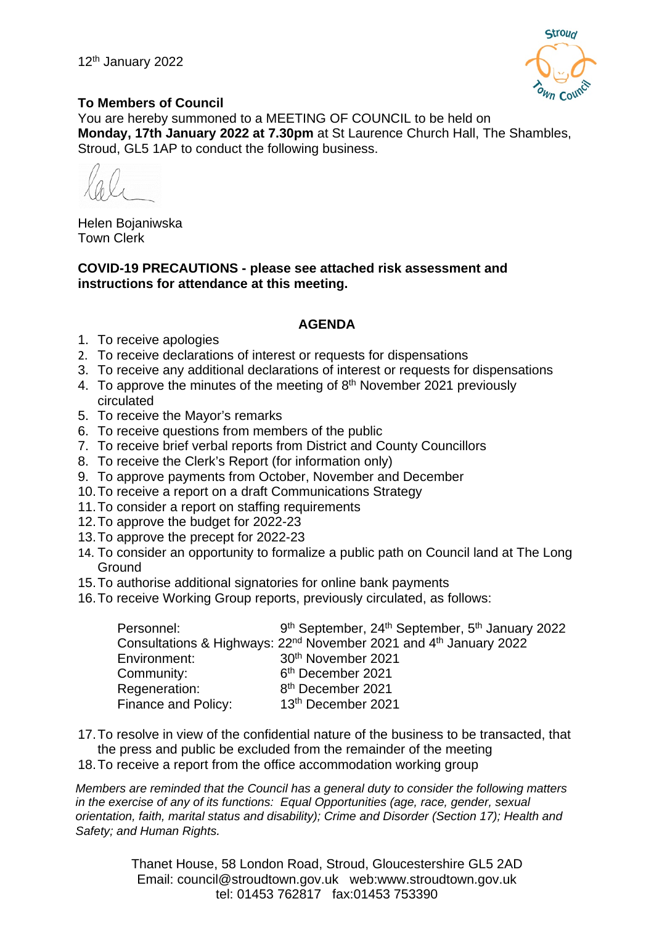

## **To Members of Council**

You are hereby summoned to a MEETING OF COUNCIL to be held on **Monday, 17th January 2022 at 7.30pm** at St Laurence Church Hall, The Shambles, Stroud, GL5 1AP to conduct the following business.

Helen Bojaniwska Town Clerk

**COVID-19 PRECAUTIONS - please see attached risk assessment and instructions for attendance at this meeting.**

### **AGENDA**

- 1. To receive apologies
- 2. To receive declarations of interest or requests for dispensations
- 3. To receive any additional declarations of interest or requests for dispensations
- 4. To approve the minutes of the meeting of 8<sup>th</sup> November 2021 previously circulated
- 5. To receive the Mayor's remarks
- 6. To receive questions from members of the public
- 7. To receive brief verbal reports from District and County Councillors
- 8. To receive the Clerk's Report (for information only)
- 9. To approve payments from October, November and December
- 10.To receive a report on a draft Communications Strategy
- 11.To consider a report on staffing requirements
- 12.To approve the budget for 2022-23
- 13.To approve the precept for 2022-23
- 14. To consider an opportunity to formalize a public path on Council land at The Long **Ground**
- 15.To authorise additional signatories for online bank payments
- 16.To receive Working Group reports, previously circulated, as follows:

| Personnel:          | 9th September, 24th September, 5th January 2022                                           |
|---------------------|-------------------------------------------------------------------------------------------|
|                     | Consultations & Highways: 22 <sup>nd</sup> November 2021 and 4 <sup>th</sup> January 2022 |
| Environment:        | 30 <sup>th</sup> November 2021                                                            |
| Community:          | 6 <sup>th</sup> December 2021                                                             |
| Regeneration:       | 8 <sup>th</sup> December 2021                                                             |
| Finance and Policy: | 13 <sup>th</sup> December 2021                                                            |

- 17.To resolve in view of the confidential nature of the business to be transacted, that the press and public be excluded from the remainder of the meeting
- 18.To receive a report from the office accommodation working group

*Members are reminded that the Council has a general duty to consider the following matters in the exercise of any of its functions: Equal Opportunities (age, race, gender, sexual orientation, faith, marital status and disability); Crime and Disorder (Section 17); Health and Safety; and Human Rights.* 

> Thanet House, 58 London Road, Stroud, Gloucestershire GL5 2AD Email: council@stroudtown.gov.uk web:www.stroudtown.gov.uk tel: 01453 762817 fax:01453 753390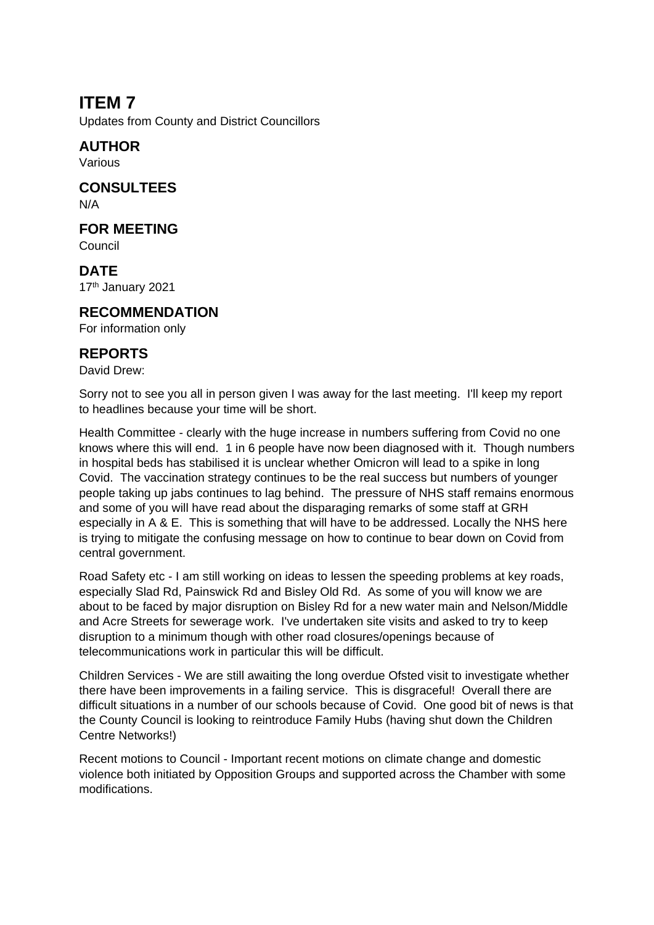# **ITEM 7**

Updates from County and District Councillors

# **AUTHOR**

Various

### **CONSULTEES** N/A

**FOR MEETING**

Council

**DATE**  17th January 2021

## **RECOMMENDATION**

For information only

### **REPORTS**

David Drew:

Sorry not to see you all in person given I was away for the last meeting. I'll keep my report to headlines because your time will be short.

Health Committee - clearly with the huge increase in numbers suffering from Covid no one knows where this will end. 1 in 6 people have now been diagnosed with it. Though numbers in hospital beds has stabilised it is unclear whether Omicron will lead to a spike in long Covid. The vaccination strategy continues to be the real success but numbers of younger people taking up jabs continues to lag behind. The pressure of NHS staff remains enormous and some of you will have read about the disparaging remarks of some staff at GRH especially in A & E. This is something that will have to be addressed. Locally the NHS here is trying to mitigate the confusing message on how to continue to bear down on Covid from central government.

Road Safety etc - I am still working on ideas to lessen the speeding problems at key roads, especially Slad Rd, Painswick Rd and Bisley Old Rd. As some of you will know we are about to be faced by major disruption on Bisley Rd for a new water main and Nelson/Middle and Acre Streets for sewerage work. I've undertaken site visits and asked to try to keep disruption to a minimum though with other road closures/openings because of telecommunications work in particular this will be difficult.

Children Services - We are still awaiting the long overdue Ofsted visit to investigate whether there have been improvements in a failing service. This is disgraceful! Overall there are difficult situations in a number of our schools because of Covid. One good bit of news is that the County Council is looking to reintroduce Family Hubs (having shut down the Children Centre Networks!)

Recent motions to Council - Important recent motions on climate change and domestic violence both initiated by Opposition Groups and supported across the Chamber with some modifications.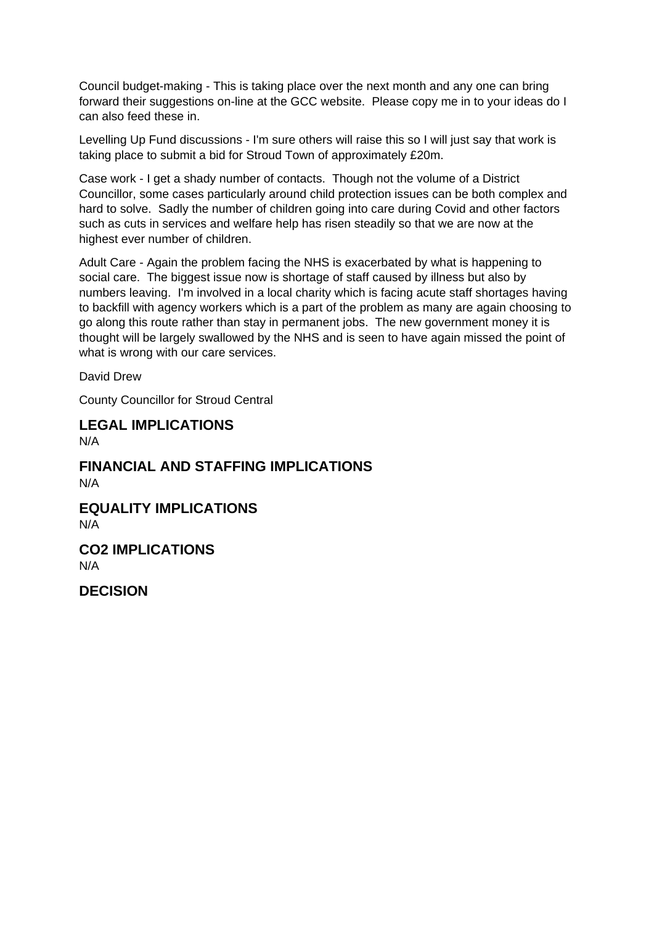Council budget-making - This is taking place over the next month and any one can bring forward their suggestions on-line at the GCC website. Please copy me in to your ideas do I can also feed these in.

Levelling Up Fund discussions - I'm sure others will raise this so I will just say that work is taking place to submit a bid for Stroud Town of approximately £20m.

Case work - I get a shady number of contacts. Though not the volume of a District Councillor, some cases particularly around child protection issues can be both complex and hard to solve. Sadly the number of children going into care during Covid and other factors such as cuts in services and welfare help has risen steadily so that we are now at the highest ever number of children.

Adult Care - Again the problem facing the NHS is exacerbated by what is happening to social care. The biggest issue now is shortage of staff caused by illness but also by numbers leaving. I'm involved in a local charity which is facing acute staff shortages having to backfill with agency workers which is a part of the problem as many are again choosing to go along this route rather than stay in permanent jobs. The new government money it is thought will be largely swallowed by the NHS and is seen to have again missed the point of what is wrong with our care services.

David Drew

County Councillor for Stroud Central

# **LEGAL IMPLICATIONS**

 $N/\Delta$ 

**FINANCIAL AND STAFFING IMPLICATIONS** N/A **EQUALITY IMPLICATIONS**

N/A

**CO2 IMPLICATIONS** N/A

**DECISION**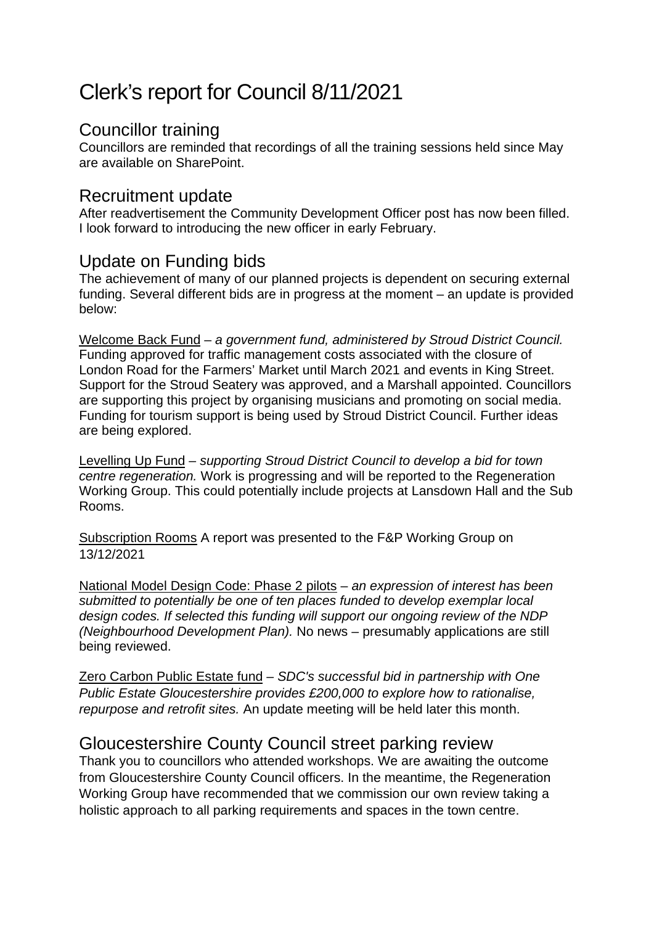# Clerk's report for Council 8/11/2021

# Councillor training

Councillors are reminded that recordings of all the training sessions held since May are available on SharePoint.

# Recruitment update

After readvertisement the Community Development Officer post has now been filled. I look forward to introducing the new officer in early February.

# Update on Funding bids

The achievement of many of our planned projects is dependent on securing external funding. Several different bids are in progress at the moment – an update is provided below:

Welcome Back Fund – *a government fund, administered by Stroud District Council.* Funding approved for traffic management costs associated with the closure of London Road for the Farmers' Market until March 2021 and events in King Street. Support for the Stroud Seatery was approved, and a Marshall appointed. Councillors are supporting this project by organising musicians and promoting on social media. Funding for tourism support is being used by Stroud District Council. Further ideas are being explored.

Levelling Up Fund – *supporting Stroud District Council to develop a bid for town centre regeneration.* Work is progressing and will be reported to the Regeneration Working Group. This could potentially include projects at Lansdown Hall and the Sub Rooms.

Subscription Rooms A report was presented to the F&P Working Group on 13/12/2021

National Model Design Code: Phase 2 pilots – *an expression of interest has been submitted to potentially be one of ten places funded to develop exemplar local design codes. If selected this funding will support our ongoing review of the NDP (Neighbourhood Development Plan).* No news – presumably applications are still being reviewed.

Zero Carbon Public Estate fund – *SDC's successful bid in partnership with One Public Estate Gloucestershire provides £200,000 to explore how to rationalise, repurpose and retrofit sites.* An update meeting will be held later this month.

# Gloucestershire County Council street parking review

Thank you to councillors who attended workshops. We are awaiting the outcome from Gloucestershire County Council officers. In the meantime, the Regeneration Working Group have recommended that we commission our own review taking a holistic approach to all parking requirements and spaces in the town centre.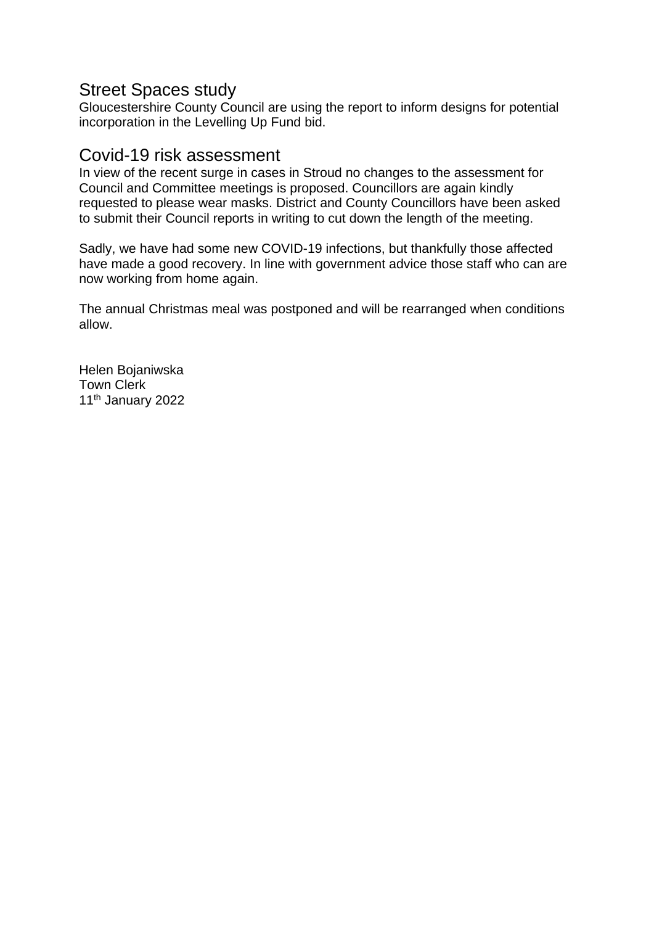# Street Spaces study

Gloucestershire County Council are using the report to inform designs for potential incorporation in the Levelling Up Fund bid.

# Covid-19 risk assessment

In view of the recent surge in cases in Stroud no changes to the assessment for Council and Committee meetings is proposed. Councillors are again kindly requested to please wear masks. District and County Councillors have been asked to submit their Council reports in writing to cut down the length of the meeting.

Sadly, we have had some new COVID-19 infections, but thankfully those affected have made a good recovery. In line with government advice those staff who can are now working from home again.

The annual Christmas meal was postponed and will be rearranged when conditions allow.

Helen Bojaniwska Town Clerk 11<sup>th</sup> January 2022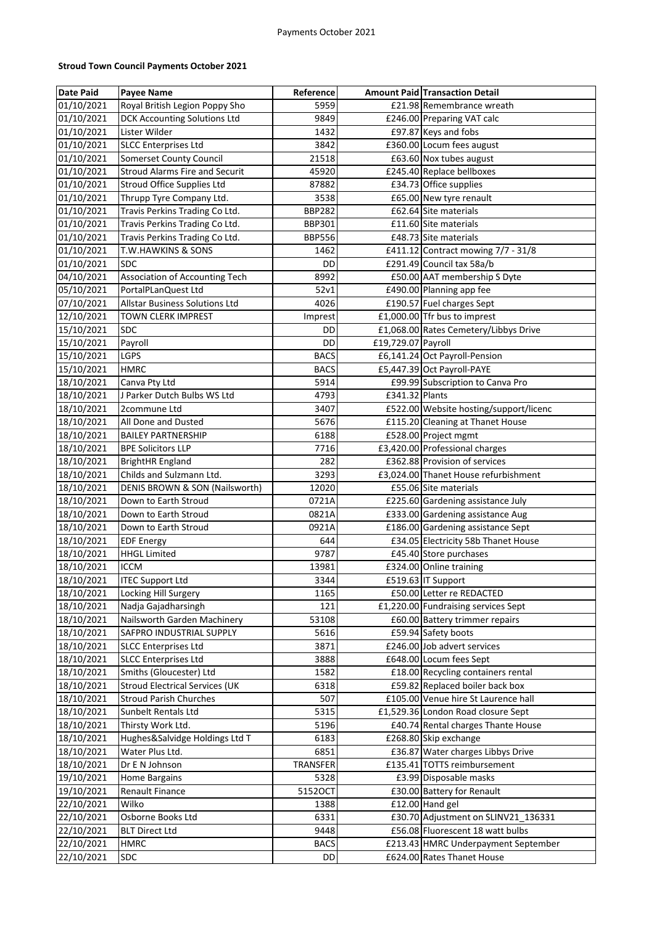#### **Stroud Town Council Payments October 2021**

| <b>Date Paid</b> | <b>Payee Name</b>                     | Reference     |                    | <b>Amount Paid Transaction Detail</b>  |
|------------------|---------------------------------------|---------------|--------------------|----------------------------------------|
| 01/10/2021       | Royal British Legion Poppy Sho        | 5959          |                    | £21.98 Remembrance wreath              |
| 01/10/2021       | <b>DCK Accounting Solutions Ltd</b>   | 9849          |                    | £246.00 Preparing VAT calc             |
| 01/10/2021       | Lister Wilder                         | 1432          |                    | £97.87 Keys and fobs                   |
| 01/10/2021       | <b>SLCC Enterprises Ltd</b>           | 3842          |                    | £360.00 Locum fees august              |
| 01/10/2021       | Somerset County Council               | 21518         |                    | £63.60 Nox tubes august                |
| 01/10/2021       | <b>Stroud Alarms Fire and Securit</b> | 45920         |                    | £245.40 Replace bellboxes              |
| 01/10/2021       | Stroud Office Supplies Ltd            | 87882         |                    | £34.73 Office supplies                 |
| 01/10/2021       | Thrupp Tyre Company Ltd.              | 3538          |                    | £65.00 New tyre renault                |
| 01/10/2021       | Travis Perkins Trading Co Ltd.        | <b>BBP282</b> |                    | £62.64 Site materials                  |
| 01/10/2021       | Travis Perkins Trading Co Ltd.        | <b>BBP301</b> |                    | £11.60 Site materials                  |
| 01/10/2021       | Travis Perkins Trading Co Ltd.        | <b>BBP556</b> |                    | £48.73 Site materials                  |
| 01/10/2021       | T.W.HAWKINS & SONS                    | 1462          |                    | £411.12 Contract mowing 7/7 - 31/8     |
| 01/10/2021       | <b>SDC</b>                            | DD            |                    | £291.49 Council tax 58a/b              |
| 04/10/2021       | Association of Accounting Tech        | 8992          |                    | £50.00 AAT membership S Dyte           |
| 05/10/2021       | PortalPLanQuest Ltd                   | 52v1          |                    | £490.00 Planning app fee               |
| 07/10/2021       | Allstar Business Solutions Ltd        | 4026          |                    | £190.57 Fuel charges Sept              |
| 12/10/2021       | TOWN CLERK IMPREST                    | Imprest       |                    | £1,000.00 Tfr bus to imprest           |
| 15/10/2021       | <b>SDC</b>                            | DD            |                    | £1,068.00 Rates Cemetery/Libbys Drive  |
| 15/10/2021       | Payroll                               | DD            | £19,729.07 Payroll |                                        |
| 15/10/2021       | LGPS                                  | <b>BACS</b>   |                    | £6,141.24 Oct Payroll-Pension          |
| 15/10/2021       | <b>HMRC</b>                           | <b>BACS</b>   |                    | £5,447.39 Oct Payroll-PAYE             |
| 18/10/2021       | Canva Pty Ltd                         | 5914          |                    | £99.99 Subscription to Canva Pro       |
| 18/10/2021       | J Parker Dutch Bulbs WS Ltd           | 4793          | £341.32 Plants     |                                        |
| 18/10/2021       | 2commune Ltd                          | 3407          |                    | £522.00 Website hosting/support/licenc |
| 18/10/2021       | All Done and Dusted                   | 5676          |                    | £115.20 Cleaning at Thanet House       |
| 18/10/2021       | <b>BAILEY PARTNERSHIP</b>             | 6188          |                    | £528.00 Project mgmt                   |
| 18/10/2021       | <b>BPE Solicitors LLP</b>             | 7716          |                    | £3,420.00 Professional charges         |
| 18/10/2021       | <b>BrightHR England</b>               | 282           |                    | £362.88 Provision of services          |
| 18/10/2021       | Childs and Sulzmann Ltd.              | 3293          |                    | £3,024.00 Thanet House refurbishment   |
| 18/10/2021       | DENIS BROWN & SON (Nailsworth)        | 12020         |                    | £55.06 Site materials                  |
| 18/10/2021       | Down to Earth Stroud                  | 0721A         |                    | £225.60 Gardening assistance July      |
| 18/10/2021       | Down to Earth Stroud                  | 0821A         |                    | £333.00 Gardening assistance Aug       |
| 18/10/2021       | Down to Earth Stroud                  | 0921A         |                    | £186.00 Gardening assistance Sept      |
| 18/10/2021       | <b>EDF Energy</b>                     | 644           |                    | £34.05 Electricity 58b Thanet House    |
| 18/10/2021       | <b>HHGL Limited</b>                   | 9787          |                    | £45.40 Store purchases                 |
| 18/10/2021       | <b>ICCM</b>                           | 13981         |                    | £324.00 Online training                |
| 18/10/2021       | <b>ITEC Support Ltd</b>               | 3344          |                    | £519.63 IT Support                     |
| 18/10/2021       | Locking Hill Surgery                  | 1165          |                    | £50.00 Letter re REDACTED              |
| 18/10/2021       | Nadja Gajadharsingh                   | 121           |                    | £1,220.00 Fundraising services Sept    |
| 18/10/2021       | Nailsworth Garden Machinery           | 53108         |                    | £60.00 Battery trimmer repairs         |
| 18/10/2021       | SAFPRO INDUSTRIAL SUPPLY              | 5616          |                    | £59.94 Safety boots                    |
| 18/10/2021       | <b>SLCC Enterprises Ltd</b>           | 3871          |                    | £246.00 Job advert services            |
| 18/10/2021       | <b>SLCC Enterprises Ltd</b>           | 3888          |                    | £648.00 Locum fees Sept                |
| 18/10/2021       | Smiths (Gloucester) Ltd               | 1582          |                    | £18.00 Recycling containers rental     |
| 18/10/2021       | <b>Stroud Electrical Services (UK</b> | 6318          |                    | £59.82 Replaced boiler back box        |
| 18/10/2021       | <b>Stroud Parish Churches</b>         | 507           |                    | £105.00 Venue hire St Laurence hall    |
| 18/10/2021       | Sunbelt Rentals Ltd                   | 5315          |                    | £1,529.36 London Road closure Sept     |
| 18/10/2021       | Thirsty Work Ltd.                     | 5196          |                    | £40.74 Rental charges Thante House     |
| 18/10/2021       | Hughes&Salvidge Holdings Ltd T        | 6183          |                    | £268.80 Skip exchange                  |
| 18/10/2021       | Water Plus Ltd.                       | 6851          |                    | £36.87 Water charges Libbys Drive      |
| 18/10/2021       | Dr E N Johnson                        | TRANSFER      |                    | £135.41 TOTTS reimbursement            |
| 19/10/2021       | <b>Home Bargains</b>                  | 5328          |                    | £3.99 Disposable masks                 |
| 19/10/2021       | <b>Renault Finance</b>                | 5152OCT       |                    | £30.00 Battery for Renault             |
| 22/10/2021       | Wilko                                 | 1388          |                    | £12.00 Hand gel                        |
| 22/10/2021       | Osborne Books Ltd                     | 6331          |                    | £30.70 Adjustment on SLINV21_136331    |
| 22/10/2021       | <b>BLT Direct Ltd</b>                 | 9448          |                    | £56.08 Fluorescent 18 watt bulbs       |
| 22/10/2021       | HMRC                                  | <b>BACS</b>   |                    | £213.43 HMRC Underpayment September    |
| 22/10/2021       | SDC                                   | DD            |                    | £624.00 Rates Thanet House             |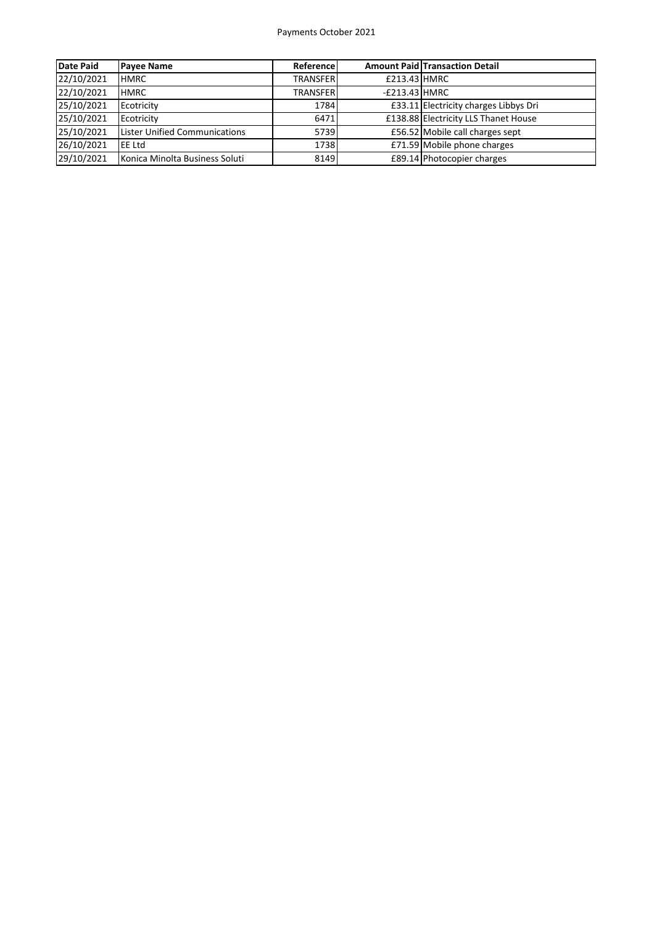#### Payments October 2021

| <b>Date Paid</b> | <b>Payee Name</b>              | Reference       |                 | <b>Amount Paid Transaction Detail</b> |
|------------------|--------------------------------|-----------------|-----------------|---------------------------------------|
| 22/10/2021       | <b>HMRC</b>                    | <b>TRANSFER</b> | £213.43 HMRC    |                                       |
| 22/10/2021       | <b>HMRC</b>                    | <b>TRANSFER</b> | $-E213.43$ HMRC |                                       |
| 25/10/2021       | Ecotricity                     | 1784            |                 | £33.11 Electricity charges Libbys Dri |
| 25/10/2021       | Ecotricity                     | 6471            |                 | £138.88 Electricity LLS Thanet House  |
| 25/10/2021       | Lister Unified Communications  | 5739            |                 | £56.52 Mobile call charges sept       |
| 26/10/2021       | <b>IEE Ltd</b>                 | 1738            |                 | £71.59 Mobile phone charges           |
| 29/10/2021       | Konica Minolta Business Soluti | 8149            |                 | £89.14 Photocopier charges            |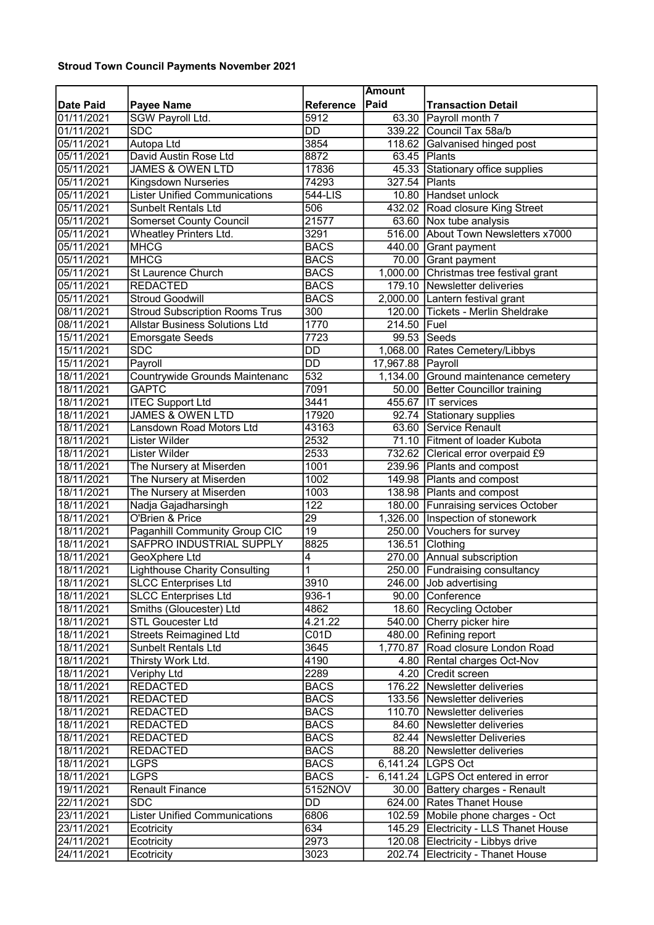### Stroud Town Council Payments November 2021

|            |                                       |                  | <b>Amount</b>     |                                        |
|------------|---------------------------------------|------------------|-------------------|----------------------------------------|
| Date Paid  | <b>Payee Name</b>                     | <b>Reference</b> | Paid              | <b>Transaction Detail</b>              |
| 01/11/2021 | SGW Payroll Ltd.                      | 5912             |                   | 63.30 Payroll month 7                  |
| 01/11/2021 | <b>SDC</b>                            | $\overline{DD}$  |                   | 339.22 Council Tax 58a/b               |
| 05/11/2021 | <b>Autopa Ltd</b>                     | 3854             |                   | 118.62 Galvanised hinged post          |
| 05/11/2021 | David Austin Rose Ltd                 | 8872             |                   | 63.45 Plants                           |
| 05/11/2021 | <b>JAMES &amp; OWEN LTD</b>           | 17836            |                   | 45.33 Stationary office supplies       |
| 05/11/2021 | Kingsdown Nurseries                   | 74293            | 327.54 Plants     |                                        |
| 05/11/2021 | <b>Lister Unified Communications</b>  | 544-LIS          |                   | 10.80 Handset unlock                   |
| 05/11/2021 | <b>Sunbelt Rentals Ltd</b>            | 506              |                   | 432.02 Road closure King Street        |
| 05/11/2021 | <b>Somerset County Council</b>        | 21577            |                   | 63.60 Nox tube analysis                |
| 05/11/2021 | Wheatley Printers Ltd.                | 3291             |                   | 516.00 About Town Newsletters x7000    |
| 05/11/2021 | <b>MHCG</b>                           | <b>BACS</b>      |                   | 440.00 Grant payment                   |
| 05/11/2021 | <b>MHCG</b>                           | <b>BACS</b>      |                   | 70.00 Grant payment                    |
| 05/11/2021 | <b>St Laurence Church</b>             | <b>BACS</b>      |                   | 1,000.00 Christmas tree festival grant |
| 05/11/2021 | <b>REDACTED</b>                       | <b>BACS</b>      |                   | 179.10 Newsletter deliveries           |
| 05/11/2021 | <b>Stroud Goodwill</b>                | <b>BACS</b>      |                   | 2,000.00 Lantern festival grant        |
|            |                                       |                  |                   | 120.00 Tickets - Merlin Sheldrake      |
| 08/11/2021 | <b>Stroud Subscription Rooms Trus</b> | 300<br>1770      |                   |                                        |
| 08/11/2021 | <b>Allstar Business Solutions Ltd</b> |                  | 214.50 Fuel       |                                        |
| 15/11/2021 | <b>Emorsgate Seeds</b>                | 7723             |                   | 99.53 Seeds                            |
| 15/11/2021 | <b>SDC</b>                            | <b>DD</b>        |                   | 1,068.00 Rates Cemetery/Libbys         |
| 15/11/2021 | Payroll                               | $\overline{DD}$  | 17,967.88 Payroll |                                        |
| 18/11/2021 | Countrywide Grounds Maintenanc        | 532              |                   | 1,134.00 Ground maintenance cemetery   |
| 18/11/2021 | <b>GAPTC</b>                          | 7091             |                   | 50.00 Better Councillor training       |
| 18/11/2021 | <b>ITEC Support Ltd</b>               | 3441             |                   | 455.67 IT services                     |
| 18/11/2021 | <b>JAMES &amp; OWEN LTD</b>           | 17920            |                   | 92.74 Stationary supplies              |
| 18/11/2021 | <b>Lansdown Road Motors Ltd</b>       | 43163            |                   | 63.60 Service Renault                  |
| 18/11/2021 | Lister Wilder                         | 2532             |                   | 71.10 Fitment of loader Kubota         |
| 18/11/2021 | Lister Wilder                         | 2533             |                   | 732.62 Clerical error overpaid £9      |
| 18/11/2021 | The Nursery at Miserden               | 1001             |                   | 239.96 Plants and compost              |
| 18/11/2021 | The Nursery at Miserden               | 1002             |                   | 149.98 Plants and compost              |
| 18/11/2021 | The Nursery at Miserden               | 1003             |                   | 138.98 Plants and compost              |
| 18/11/2021 | Nadja Gajadharsingh                   | $\overline{122}$ |                   | 180.00 Funraising services October     |
| 18/11/2021 | O'Brien & Price                       | 29               |                   | 1,326.00   Inspection of stonework     |
| 18/11/2021 | <b>Paganhill Community Group CIC</b>  | 19               |                   | 250.00 Vouchers for survey             |
| 18/11/2021 | <b>SAFPRO INDUSTRIAL SUPPLY</b>       | 8825             | 136.51            | Clothing                               |
| 18/11/2021 | GeoXphere Ltd                         | 4                |                   | 270.00 Annual subscription             |
| 18/11/2021 | <b>Lighthouse Charity Consulting</b>  | 1                |                   | 250.00 Fundraising consultancy         |
| 18/11/2021 | <b>SLCC Enterprises Ltd</b>           | 3910             |                   | 246.00 Job advertising                 |
| 18/11/2021 | <b>SLCC Enterprises Ltd</b>           | 936-1            |                   | 90.00 Conference                       |
| 18/11/2021 | Smiths (Gloucester) Ltd               | 4862             |                   | 18.60 Recycling October                |
| 18/11/2021 | <b>STL Goucester Ltd</b>              | 4.21.22          |                   | 540.00 Cherry picker hire              |
| 18/11/2021 | <b>Streets Reimagined Ltd</b>         | C01D             |                   | 480.00 Refining report                 |
| 18/11/2021 | <b>Sunbelt Rentals Ltd</b>            | 3645             |                   | 1,770.87 Road closure London Road      |
| 18/11/2021 | Thirsty Work Ltd.                     | 4190             |                   | 4.80   Rental charges Oct-Nov          |
| 18/11/2021 | Veriphy Ltd                           | 2289             |                   | 4.20 Credit screen                     |
| 18/11/2021 | <b>REDACTED</b>                       | <b>BACS</b>      |                   | 176.22 Newsletter deliveries           |
| 18/11/2021 | <b>REDACTED</b>                       | <b>BACS</b>      |                   | 133.56 Newsletter deliveries           |
| 18/11/2021 | <b>REDACTED</b>                       | <b>BACS</b>      |                   | 110.70 Newsletter deliveries           |
| 18/11/2021 | <b>REDACTED</b>                       | <b>BACS</b>      |                   | 84.60 Newsletter deliveries            |
| 18/11/2021 | <b>REDACTED</b>                       | <b>BACS</b>      |                   | 82.44 Newsletter Deliveries            |
| 18/11/2021 | <b>REDACTED</b>                       | <b>BACS</b>      |                   | 88.20 Newsletter deliveries            |
| 18/11/2021 | <b>LGPS</b>                           | <b>BACS</b>      |                   | 6,141.24 LGPS Oct                      |
| 18/11/2021 | LGPS                                  | <b>BACS</b>      |                   | 6,141.24 LGPS Oct entered in error     |
| 19/11/2021 | <b>Renault Finance</b>                | 5152NOV          |                   | 30.00 Battery charges - Renault        |
| 22/11/2021 | <b>SDC</b>                            | DD               |                   | 624.00 Rates Thanet House              |
| 23/11/2021 | <b>Lister Unified Communications</b>  | 6806             |                   | 102.59 Mobile phone charges - Oct      |
| 23/11/2021 | Ecotricity                            | 634              |                   | 145.29 Electricity - LLS Thanet House  |
| 24/11/2021 | Ecotricity                            | 2973             |                   | 120.08 Electricity - Libbys drive      |
| 24/11/2021 | Ecotricity                            | 3023             |                   | 202.74 Electricity - Thanet House      |
|            |                                       |                  |                   |                                        |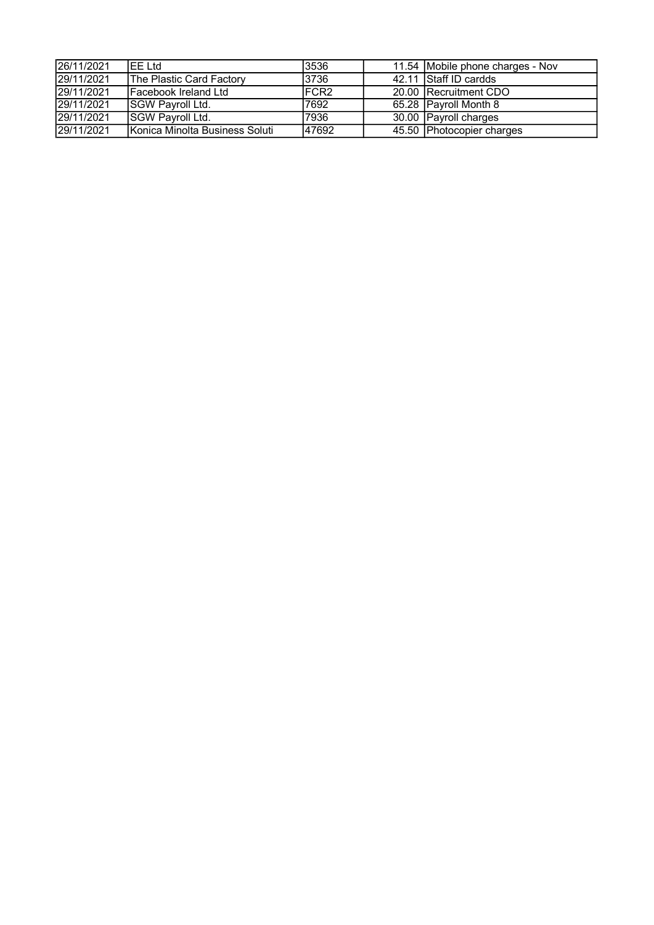| 26/11/2021 | IFF I td                         | 3536             | 11.54 Mobile phone charges - Nov |
|------------|----------------------------------|------------------|----------------------------------|
| 29/11/2021 | <b>IThe Plastic Card Factory</b> | 3736             | 42.11 Staff ID cardds            |
| 29/11/2021 | <b>IFacebook Ireland Ltd</b>     | FCR <sub>2</sub> | 20.00 Recruitment CDO            |
| 29/11/2021 | <b>SGW Payroll Ltd.</b>          | 7692             | 65.28 Payroll Month 8            |
| 29/11/2021 | <b>SGW Payroll Ltd.</b>          | 7936             | 30.00 Payroll charges            |
| 29/11/2021 | Konica Minolta Business Soluti   | 47692            | 45.50 Photocopier charges        |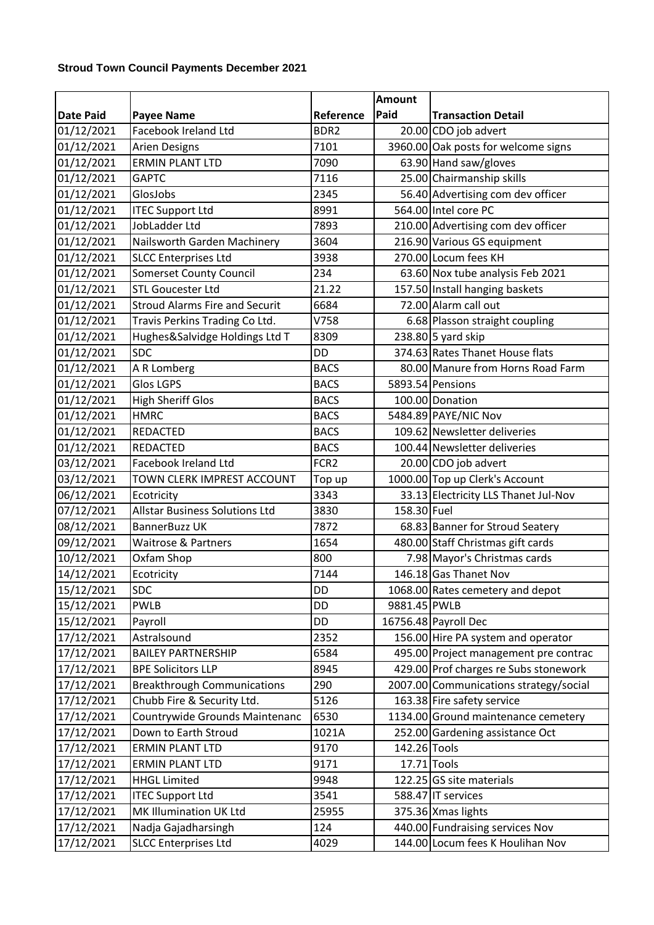### **Stroud Town Council Payments December 2021**

|                  |                                       |                  | <b>Amount</b> |                                        |  |  |
|------------------|---------------------------------------|------------------|---------------|----------------------------------------|--|--|
| <b>Date Paid</b> | <b>Payee Name</b>                     | Reference        | Paid          | <b>Transaction Detail</b>              |  |  |
| 01/12/2021       | Facebook Ireland Ltd                  | BDR <sub>2</sub> |               | 20.00 CDO job advert                   |  |  |
| 01/12/2021       | <b>Arien Designs</b>                  | 7101             |               | 3960.00 Oak posts for welcome signs    |  |  |
| 01/12/2021       | <b>ERMIN PLANT LTD</b>                | 7090             |               | 63.90 Hand saw/gloves                  |  |  |
| 01/12/2021       | <b>GAPTC</b>                          | 7116             |               | 25.00 Chairmanship skills              |  |  |
| 01/12/2021       | GlosJobs                              | 2345             |               | 56.40 Advertising com dev officer      |  |  |
| 01/12/2021       | <b>ITEC Support Ltd</b>               | 8991             |               | 564.00 Intel core PC                   |  |  |
| 01/12/2021       | JobLadder Ltd                         | 7893             |               | 210.00 Advertising com dev officer     |  |  |
| 01/12/2021       | Nailsworth Garden Machinery           | 3604             |               | 216.90 Various GS equipment            |  |  |
| 01/12/2021       | <b>SLCC Enterprises Ltd</b>           | 3938             |               | 270.00 Locum fees KH                   |  |  |
| 01/12/2021       | <b>Somerset County Council</b>        | 234              |               | 63.60 Nox tube analysis Feb 2021       |  |  |
| 01/12/2021       | <b>STL Goucester Ltd</b>              | 21.22            |               | 157.50 Install hanging baskets         |  |  |
| 01/12/2021       | <b>Stroud Alarms Fire and Securit</b> | 6684             |               | 72.00 Alarm call out                   |  |  |
| 01/12/2021       | Travis Perkins Trading Co Ltd.        | V758             |               | 6.68 Plasson straight coupling         |  |  |
| 01/12/2021       | Hughes&Salvidge Holdings Ltd T        | 8309             |               | 238.80 5 yard skip                     |  |  |
| 01/12/2021       | <b>SDC</b>                            | <b>DD</b>        |               | 374.63 Rates Thanet House flats        |  |  |
| 01/12/2021       | A R Lomberg                           | <b>BACS</b>      |               | 80.00 Manure from Horns Road Farm      |  |  |
| 01/12/2021       | <b>Glos LGPS</b>                      | <b>BACS</b>      |               | 5893.54 Pensions                       |  |  |
| 01/12/2021       | <b>High Sheriff Glos</b>              | <b>BACS</b>      |               | 100.00 Donation                        |  |  |
| 01/12/2021       | <b>HMRC</b>                           | <b>BACS</b>      |               | 5484.89 PAYE/NIC Nov                   |  |  |
| 01/12/2021       | REDACTED                              | <b>BACS</b>      |               | 109.62 Newsletter deliveries           |  |  |
| 01/12/2021       | <b>REDACTED</b>                       | <b>BACS</b>      |               | 100.44 Newsletter deliveries           |  |  |
| 03/12/2021       | Facebook Ireland Ltd                  | FCR <sub>2</sub> |               | 20.00 CDO job advert                   |  |  |
| 03/12/2021       | TOWN CLERK IMPREST ACCOUNT            | Top up           |               | 1000.00 Top up Clerk's Account         |  |  |
| 06/12/2021       | Ecotricity                            | 3343             |               | 33.13 Electricity LLS Thanet Jul-Nov   |  |  |
| 07/12/2021       | <b>Allstar Business Solutions Ltd</b> | 3830             | 158.30 Fuel   |                                        |  |  |
| 08/12/2021       | <b>BannerBuzz UK</b>                  | 7872             |               | 68.83 Banner for Stroud Seatery        |  |  |
| 09/12/2021       | <b>Waitrose &amp; Partners</b>        | 1654             |               | 480.00 Staff Christmas gift cards      |  |  |
| 10/12/2021       | Oxfam Shop                            | 800              |               | 7.98 Mayor's Christmas cards           |  |  |
| 14/12/2021       | Ecotricity                            | 7144             |               | 146.18 Gas Thanet Nov                  |  |  |
| 15/12/2021       | <b>SDC</b>                            | <b>DD</b>        |               | 1068.00 Rates cemetery and depot       |  |  |
| 15/12/2021       | <b>PWLB</b>                           | DD               | 9881.45 PWLB  |                                        |  |  |
| 15/12/2021       | Payroll                               | DD               |               | 16756.48 Payroll Dec                   |  |  |
| 17/12/2021       | Astralsound                           | 2352             |               | 156.00 Hire PA system and operator     |  |  |
| 17/12/2021       | <b>BAILEY PARTNERSHIP</b>             | 6584             |               | 495.00 Project management pre contrac  |  |  |
| 17/12/2021       | <b>BPE Solicitors LLP</b>             | 8945             |               | 429.00 Prof charges re Subs stonework  |  |  |
| 17/12/2021       | <b>Breakthrough Communications</b>    | 290              |               | 2007.00 Communications strategy/social |  |  |
| 17/12/2021       | Chubb Fire & Security Ltd.            | 5126             |               | 163.38 Fire safety service             |  |  |
| 17/12/2021       | Countrywide Grounds Maintenanc        | 6530             |               | 1134.00 Ground maintenance cemetery    |  |  |
| 17/12/2021       | Down to Earth Stroud                  | 1021A            |               | 252.00 Gardening assistance Oct        |  |  |
| 17/12/2021       | <b>ERMIN PLANT LTD</b>                | 9170             | 142.26 Tools  |                                        |  |  |
| 17/12/2021       | <b>ERMIN PLANT LTD</b>                | 9171             |               | 17.71 Tools                            |  |  |
| 17/12/2021       | <b>HHGL Limited</b>                   | 9948             |               | 122.25 GS site materials               |  |  |
| 17/12/2021       | <b>ITEC Support Ltd</b>               | 3541             |               | 588.47 IT services                     |  |  |
| 17/12/2021       | MK Illumination UK Ltd                | 25955            |               | 375.36 Xmas lights                     |  |  |
| 17/12/2021       | Nadja Gajadharsingh                   | 124              |               | 440.00 Fundraising services Nov        |  |  |
| 17/12/2021       | <b>SLCC Enterprises Ltd</b>           | 4029             |               | 144.00 Locum fees K Houlihan Nov       |  |  |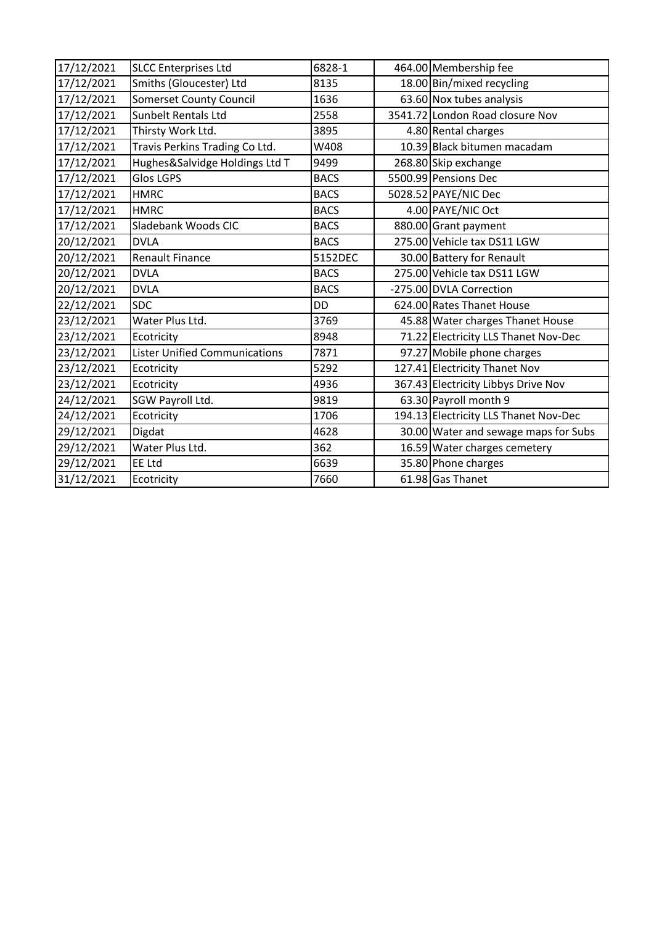| 17/12/2021 | <b>SLCC Enterprises Ltd</b>          | 6828-1      | 464.00 Membership fee                 |
|------------|--------------------------------------|-------------|---------------------------------------|
| 17/12/2021 | Smiths (Gloucester) Ltd              | 8135        | 18.00 Bin/mixed recycling             |
| 17/12/2021 | <b>Somerset County Council</b>       | 1636        | 63.60 Nox tubes analysis              |
| 17/12/2021 | <b>Sunbelt Rentals Ltd</b>           | 2558        | 3541.72 London Road closure Nov       |
| 17/12/2021 | Thirsty Work Ltd.                    | 3895        | 4.80 Rental charges                   |
| 17/12/2021 | Travis Perkins Trading Co Ltd.       | W408        | 10.39 Black bitumen macadam           |
| 17/12/2021 | Hughes&Salvidge Holdings Ltd T       | 9499        | 268.80 Skip exchange                  |
| 17/12/2021 | <b>Glos LGPS</b>                     | <b>BACS</b> | 5500.99 Pensions Dec                  |
| 17/12/2021 | <b>HMRC</b>                          | <b>BACS</b> | 5028.52 PAYE/NIC Dec                  |
| 17/12/2021 | <b>HMRC</b>                          | <b>BACS</b> | 4.00 PAYE/NIC Oct                     |
| 17/12/2021 | Sladebank Woods CIC                  | <b>BACS</b> | 880.00 Grant payment                  |
| 20/12/2021 | <b>DVLA</b>                          | <b>BACS</b> | 275.00 Vehicle tax DS11 LGW           |
| 20/12/2021 | <b>Renault Finance</b>               | 5152DEC     | 30.00 Battery for Renault             |
| 20/12/2021 | <b>DVLA</b>                          | <b>BACS</b> | 275.00 Vehicle tax DS11 LGW           |
| 20/12/2021 | <b>DVLA</b>                          | <b>BACS</b> | -275.00 DVLA Correction               |
| 22/12/2021 | <b>SDC</b>                           | <b>DD</b>   | 624.00 Rates Thanet House             |
| 23/12/2021 | Water Plus Ltd.                      | 3769        | 45.88 Water charges Thanet House      |
| 23/12/2021 | Ecotricity                           | 8948        | 71.22 Electricity LLS Thanet Nov-Dec  |
| 23/12/2021 | <b>Lister Unified Communications</b> | 7871        | 97.27 Mobile phone charges            |
| 23/12/2021 | Ecotricity                           | 5292        | 127.41 Electricity Thanet Nov         |
| 23/12/2021 | Ecotricity                           | 4936        | 367.43 Electricity Libbys Drive Nov   |
| 24/12/2021 | SGW Payroll Ltd.                     | 9819        | 63.30 Payroll month 9                 |
| 24/12/2021 | Ecotricity                           | 1706        | 194.13 Electricity LLS Thanet Nov-Dec |
| 29/12/2021 | Digdat                               | 4628        | 30.00 Water and sewage maps for Subs  |
| 29/12/2021 | Water Plus Ltd.                      | 362         | 16.59 Water charges cemetery          |
| 29/12/2021 | <b>EE Ltd</b>                        | 6639        | 35.80 Phone charges                   |
| 31/12/2021 | Ecotricity                           | 7660        | 61.98 Gas Thanet                      |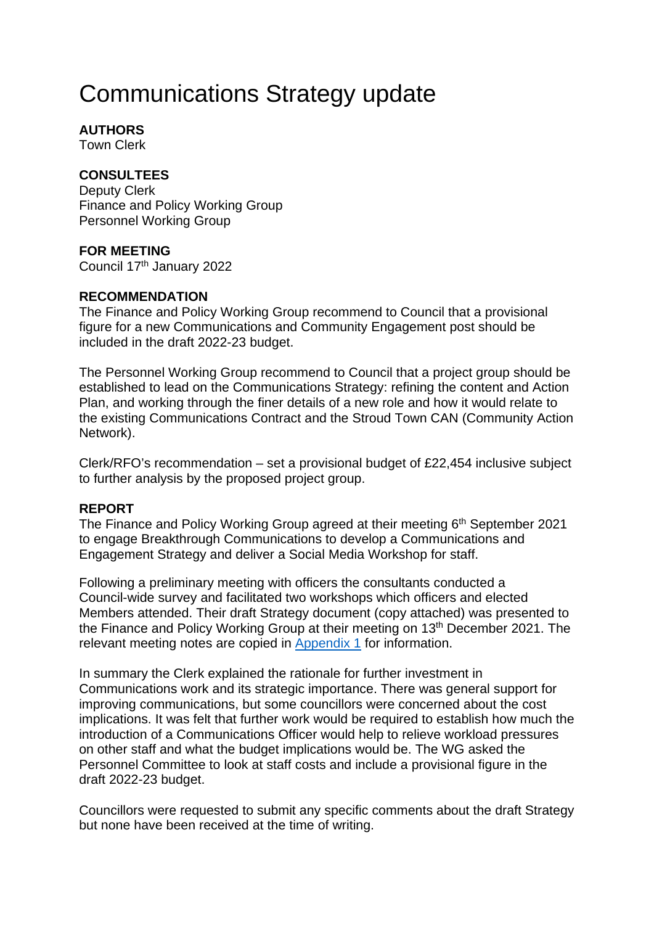# Communications Strategy update

## **AUTHORS**

Town Clerk

## **CONSULTEES**

Deputy Clerk Finance and Policy Working Group Personnel Working Group

### **FOR MEETING**

Council 17th January 2022

### **RECOMMENDATION**

The Finance and Policy Working Group recommend to Council that a provisional figure for a new Communications and Community Engagement post should be included in the draft 2022-23 budget.

The Personnel Working Group recommend to Council that a project group should be established to lead on the Communications Strategy: refining the content and Action Plan, and working through the finer details of a new role and how it would relate to the existing Communications Contract and the Stroud Town CAN (Community Action Network).

Clerk/RFO's recommendation – set a provisional budget of £22,454 inclusive subject to further analysis by the proposed project group.

### **REPORT**

The Finance and Policy Working Group agreed at their meeting 6<sup>th</sup> September 2021 to engage Breakthrough Communications to develop a Communications and Engagement Strategy and deliver a Social Media Workshop for staff.

Following a preliminary meeting with officers the consultants conducted a Council-wide survey and facilitated two workshops which officers and elected Members attended. Their draft Strategy document (copy attached) was presented to the Finance and Policy Working Gro[up at their me](#page-14-0)eting on 13<sup>th</sup> December 2021. The relevant meeting notes are copied in Appendix 1 for information.

In summary the Clerk explained the rationale for further investment in Communications work and its strategic importance. There was general support for improving communications, but some councillors were concerned about the cost implications. It was felt that further work would be required to establish how much the introduction of a Communications Officer would help to relieve workload pressures on other staff and what the budget implications would be. The WG asked the Personnel Committee to look at staff costs and include a provisional figure in the draft 2022-23 budget.

Councillors were requested to submit any specific comments about the draft Strategy but none have been received at the time of writing.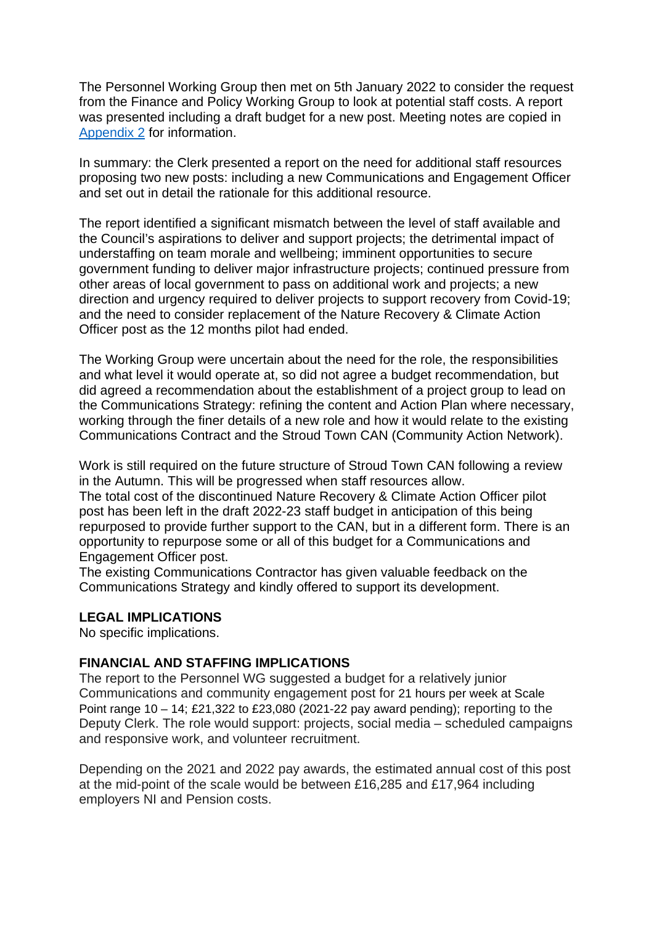The Personnel Working Group then met on 5th January 2022 to consider the request from the Finance and Policy Working Group to look at potential staff costs. A report was presented including a draft budget for a new post. Meeting notes are copied in [Appendix 2](#page-14-1) for information.

In summary: the Clerk presented a report on the need for additional staff resources proposing two new posts: including a new Communications and Engagement Officer and set out in detail the rationale for this additional resource.

The report identified a significant mismatch between the level of staff available and the Council's aspirations to deliver and support projects; the detrimental impact of understaffing on team morale and wellbeing; imminent opportunities to secure government funding to deliver major infrastructure projects; continued pressure from other areas of local government to pass on additional work and projects; a new direction and urgency required to deliver projects to support recovery from Covid-19; and the need to consider replacement of the Nature Recovery & Climate Action Officer post as the 12 months pilot had ended.

The Working Group were uncertain about the need for the role, the responsibilities and what level it would operate at, so did not agree a budget recommendation, but did agreed a recommendation about the establishment of a project group to lead on the Communications Strategy: refining the content and Action Plan where necessary, working through the finer details of a new role and how it would relate to the existing Communications Contract and the Stroud Town CAN (Community Action Network).

Work is still required on the future structure of Stroud Town CAN following a review in the Autumn. This will be progressed when staff resources allow.

The total cost of the discontinued Nature Recovery & Climate Action Officer pilot post has been left in the draft 2022-23 staff budget in anticipation of this being repurposed to provide further support to the CAN, but in a different form. There is an opportunity to repurpose some or all of this budget for a Communications and Engagement Officer post.

The existing Communications Contractor has given valuable feedback on the Communications Strategy and kindly offered to support its development.

#### **LEGAL IMPLICATIONS**

No specific implications.

#### **FINANCIAL AND STAFFING IMPLICATIONS**

The report to the Personnel WG suggested a budget for a relatively junior Communications and community engagement post for 21 hours per week at Scale Point range 10 – 14; £21,322 to £23,080 (2021-22 pay award pending); reporting to the Deputy Clerk. The role would support: projects, social media – scheduled campaigns and responsive work, and volunteer recruitment.

Depending on the 2021 and 2022 pay awards, the estimated annual cost of this post at the mid-point of the scale would be between £16,285 and £17,964 including employers NI and Pension costs.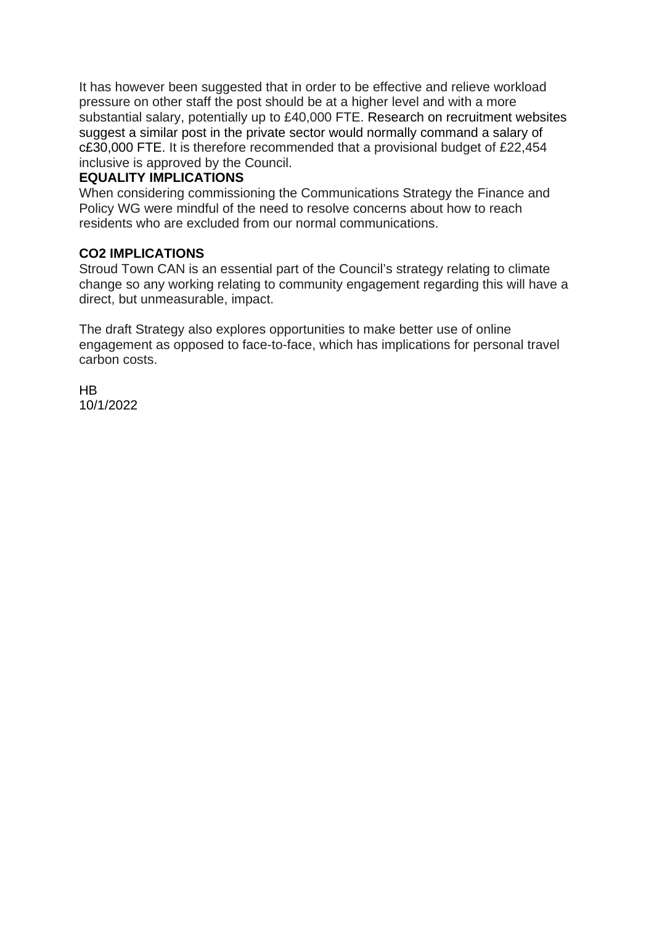It has however been suggested that in order to be effective and relieve workload pressure on other staff the post should be at a higher level and with a more substantial salary, potentially up to £40,000 FTE. Research on recruitment websites suggest a similar post in the private sector would normally command a salary of c£30,000 FTE. It is therefore recommended that a provisional budget of £22,454 inclusive is approved by the Council.

### **EQUALITY IMPLICATIONS**

When considering commissioning the Communications Strategy the Finance and Policy WG were mindful of the need to resolve concerns about how to reach residents who are excluded from our normal communications.

### **CO2 IMPLICATIONS**

Stroud Town CAN is an essential part of the Council's strategy relating to climate change so any working relating to community engagement regarding this will have a direct, but unmeasurable, impact.

The draft Strategy also explores opportunities to make better use of online engagement as opposed to face-to-face, which has implications for personal travel carbon costs.

H<sub>B</sub> 10/1/2022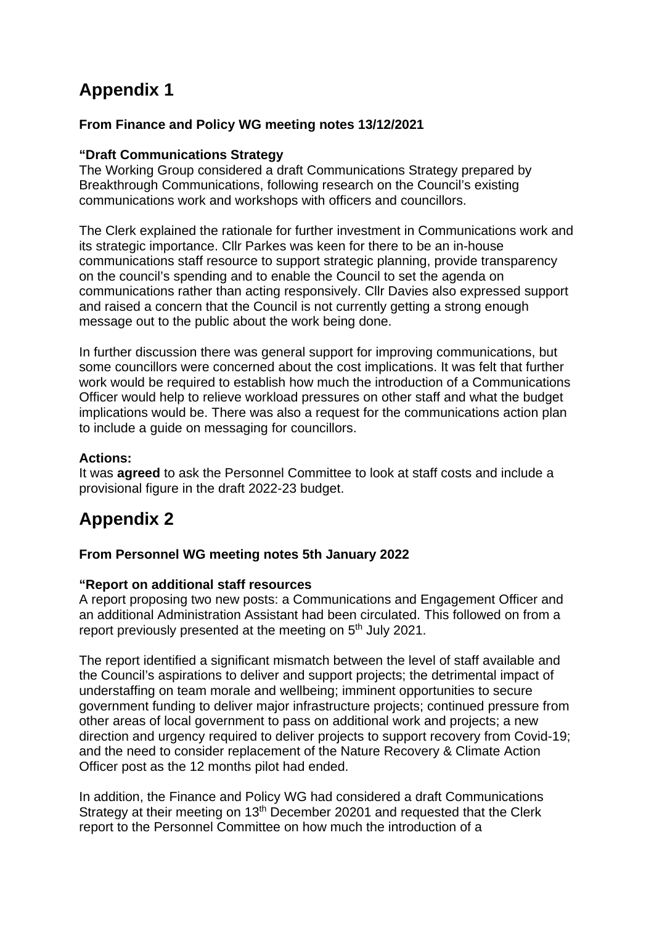# <span id="page-14-0"></span>**Appendix 1**

### **From Finance and Policy WG meeting notes 13/12/2021**

### **"Draft Communications Strategy**

The Working Group considered a draft Communications Strategy prepared by Breakthrough Communications, following research on the Council's existing communications work and workshops with officers and councillors.

The Clerk explained the rationale for further investment in Communications work and its strategic importance. Cllr Parkes was keen for there to be an in-house communications staff resource to support strategic planning, provide transparency on the council's spending and to enable the Council to set the agenda on communications rather than acting responsively. Cllr Davies also expressed support and raised a concern that the Council is not currently getting a strong enough message out to the public about the work being done.

In further discussion there was general support for improving communications, but some councillors were concerned about the cost implications. It was felt that further work would be required to establish how much the introduction of a Communications Officer would help to relieve workload pressures on other staff and what the budget implications would be. There was also a request for the communications action plan to include a guide on messaging for councillors.

### **Actions:**

<span id="page-14-1"></span>It was **agreed** to ask the Personnel Committee to look at staff costs and include a provisional figure in the draft 2022-23 budget.

# **Appendix 2**

### **From Personnel WG meeting notes 5th January 2022**

### **"Report on additional staff resources**

A report proposing two new posts: a Communications and Engagement Officer and an additional Administration Assistant had been circulated. This followed on from a report previously presented at the meeting on 5<sup>th</sup> July 2021.

The report identified a significant mismatch between the level of staff available and the Council's aspirations to deliver and support projects; the detrimental impact of understaffing on team morale and wellbeing; imminent opportunities to secure government funding to deliver major infrastructure projects; continued pressure from other areas of local government to pass on additional work and projects; a new direction and urgency required to deliver projects to support recovery from Covid-19; and the need to consider replacement of the Nature Recovery & Climate Action Officer post as the 12 months pilot had ended.

In addition, the Finance and Policy WG had considered a draft Communications Strategy at their meeting on 13<sup>th</sup> December 20201 and requested that the Clerk report to the Personnel Committee on how much the introduction of a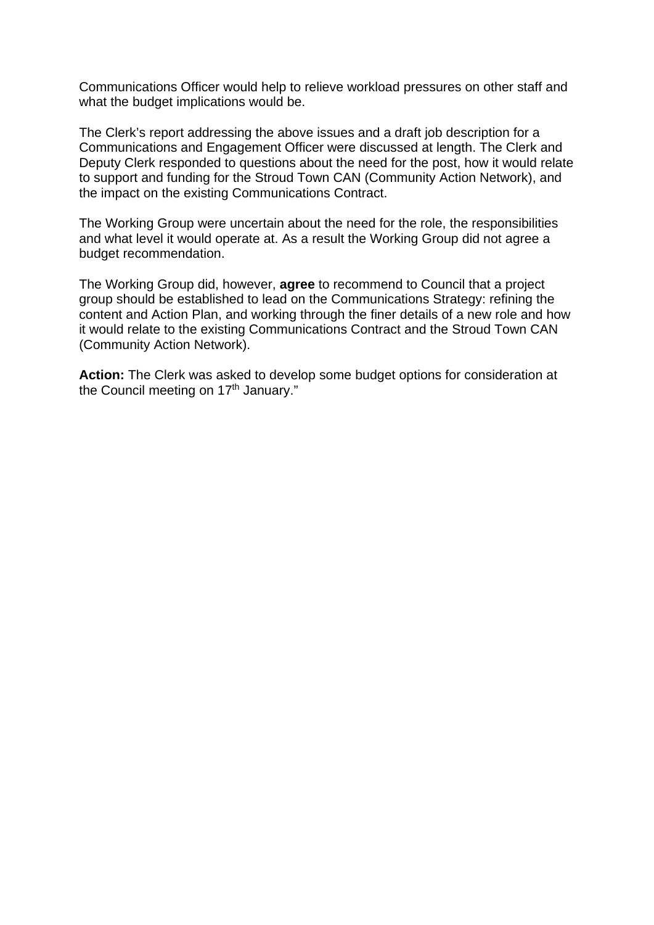Communications Officer would help to relieve workload pressures on other staff and what the budget implications would be.

The Clerk's report addressing the above issues and a draft job description for a Communications and Engagement Officer were discussed at length. The Clerk and Deputy Clerk responded to questions about the need for the post, how it would relate to support and funding for the Stroud Town CAN (Community Action Network), and the impact on the existing Communications Contract.

The Working Group were uncertain about the need for the role, the responsibilities and what level it would operate at. As a result the Working Group did not agree a budget recommendation.

The Working Group did, however, **agree** to recommend to Council that a project group should be established to lead on the Communications Strategy: refining the content and Action Plan, and working through the finer details of a new role and how it would relate to the existing Communications Contract and the Stroud Town CAN (Community Action Network).

**Action:** The Clerk was asked to develop some budget options for consideration at the Council meeting on 17<sup>th</sup> January."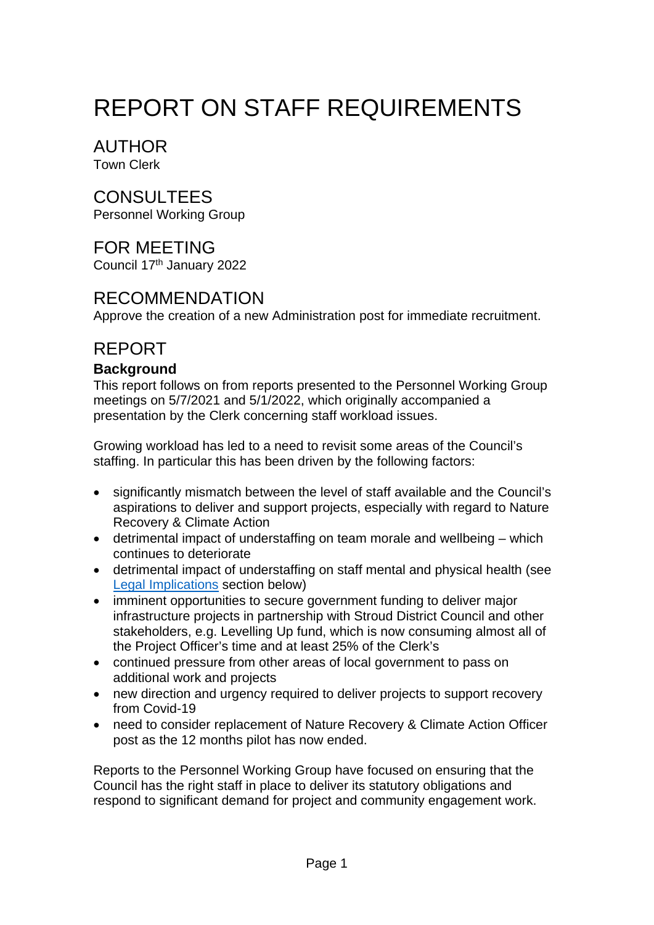# REPORT ON STAFF REQUIREMENTS

AUTHOR Town Clerk

# CONSULTEES

Personnel Working Group

# FOR MEETING

Council 17th January 2022

# RECOMMENDATION

Approve the creation of a new Administration post for immediate recruitment.

# REPORT

# **Background**

This report follows on from reports presented to the Personnel Working Group meetings on 5/7/2021 and 5/1/2022, which originally accompanied a presentation by the Clerk concerning staff workload issues.

Growing workload has led to a need to revisit some areas of the Council's staffing. In particular this has been driven by the following factors:

- significantly mismatch between the level of staff available and the Council's aspirations to deliver and support projects, especially with regard to Nature Recovery & Climate Action
- detrimental impact of understaffing on team morale and wellbeing which continues to deteriorate
- detrimental impact of understaffing on staff mental and physical health (see [Legal Implications](#page-19-0) section below)
- imminent opportunities to secure government funding to deliver major infrastructure projects in partnership with Stroud District Council and other stakeholders, e.g. Levelling Up fund, which is now consuming almost all of the Project Officer's time and at least 25% of the Clerk's
- continued pressure from other areas of local government to pass on additional work and projects
- new direction and urgency required to deliver projects to support recovery from Covid-19
- need to consider replacement of Nature Recovery & Climate Action Officer post as the 12 months pilot has now ended.

Reports to the Personnel Working Group have focused on ensuring that the Council has the right staff in place to deliver its statutory obligations and respond to significant demand for project and community engagement work.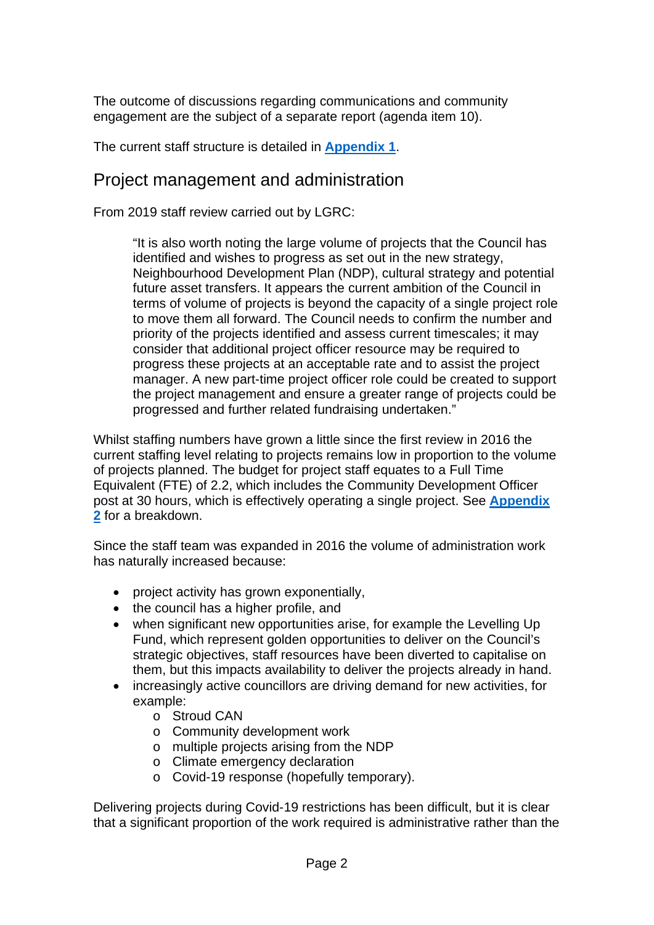The outcome of discussions regarding communications and community engagement are the subject of a separate report (agenda item 10).

The current staff structure is detailed in **[Appendix 1](#page-20-0)**.

# Project management and administration

From 2019 staff review carried out by LGRC:

"It is also worth noting the large volume of projects that the Council has identified and wishes to progress as set out in the new strategy, Neighbourhood Development Plan (NDP), cultural strategy and potential future asset transfers. It appears the current ambition of the Council in terms of volume of projects is beyond the capacity of a single project role to move them all forward. The Council needs to confirm the number and priority of the projects identified and assess current timescales; it may consider that additional project officer resource may be required to progress these projects at an acceptable rate and to assist the project manager. A new part-time project officer role could be created to support the project management and ensure a greater range of projects could be progressed and further related fundraising undertaken."

Whilst staffing numbers have grown a little since the first review in 2016 the current staffing level relating to projects remains low in proportion to the volume of projects planned. The budget for project staff equates to a Full Time Equivalent (FTE) of 2.2, which includes the Community Development Officer post at 30 hours, which is effectively operating a single project. See **[Appendix](#page-21-0)  [2](#page-21-0)** for a breakdown.

Since the staff team was expanded in 2016 the volume of administration work has naturally increased because:

- project activity has grown exponentially,
- the council has a higher profile, and
- when significant new opportunities arise, for example the Levelling Up Fund, which represent golden opportunities to deliver on the Council's strategic objectives, staff resources have been diverted to capitalise on them, but this impacts availability to deliver the projects already in hand.
- increasingly active councillors are driving demand for new activities, for example:
	- o Stroud CAN
	- o Community development work
	- o multiple projects arising from the NDP
	- o Climate emergency declaration
	- o Covid-19 response (hopefully temporary).

Delivering projects during Covid-19 restrictions has been difficult, but it is clear that a significant proportion of the work required is administrative rather than the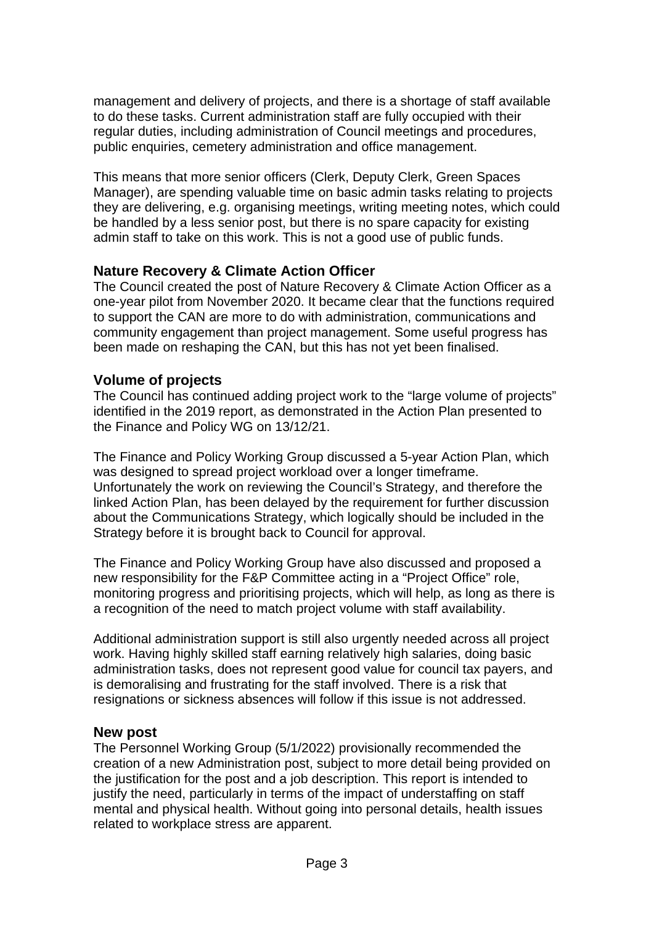management and delivery of projects, and there is a shortage of staff available to do these tasks. Current administration staff are fully occupied with their regular duties, including administration of Council meetings and procedures, public enquiries, cemetery administration and office management.

This means that more senior officers (Clerk, Deputy Clerk, Green Spaces Manager), are spending valuable time on basic admin tasks relating to projects they are delivering, e.g. organising meetings, writing meeting notes, which could be handled by a less senior post, but there is no spare capacity for existing admin staff to take on this work. This is not a good use of public funds.

# **Nature Recovery & Climate Action Officer**

The Council created the post of Nature Recovery & Climate Action Officer as a one-year pilot from November 2020. It became clear that the functions required to support the CAN are more to do with administration, communications and community engagement than project management. Some useful progress has been made on reshaping the CAN, but this has not yet been finalised.

# **Volume of projects**

The Council has continued adding project work to the "large volume of projects" identified in the 2019 report, as demonstrated in the Action Plan presented to the Finance and Policy WG on 13/12/21.

The Finance and Policy Working Group discussed a 5-year Action Plan, which was designed to spread project workload over a longer timeframe. Unfortunately the work on reviewing the Council's Strategy, and therefore the linked Action Plan, has been delayed by the requirement for further discussion about the Communications Strategy, which logically should be included in the Strategy before it is brought back to Council for approval.

The Finance and Policy Working Group have also discussed and proposed a new responsibility for the F&P Committee acting in a "Project Office" role, monitoring progress and prioritising projects, which will help, as long as there is a recognition of the need to match project volume with staff availability.

Additional administration support is still also urgently needed across all project work. Having highly skilled staff earning relatively high salaries, doing basic administration tasks, does not represent good value for council tax payers, and is demoralising and frustrating for the staff involved. There is a risk that resignations or sickness absences will follow if this issue is not addressed.

# **New post**

The Personnel Working Group (5/1/2022) provisionally recommended the creation of a new Administration post, subject to more detail being provided on the justification for the post and a job description. This report is intended to justify the need, particularly in terms of the impact of understaffing on staff mental and physical health. Without going into personal details, health issues related to workplace stress are apparent.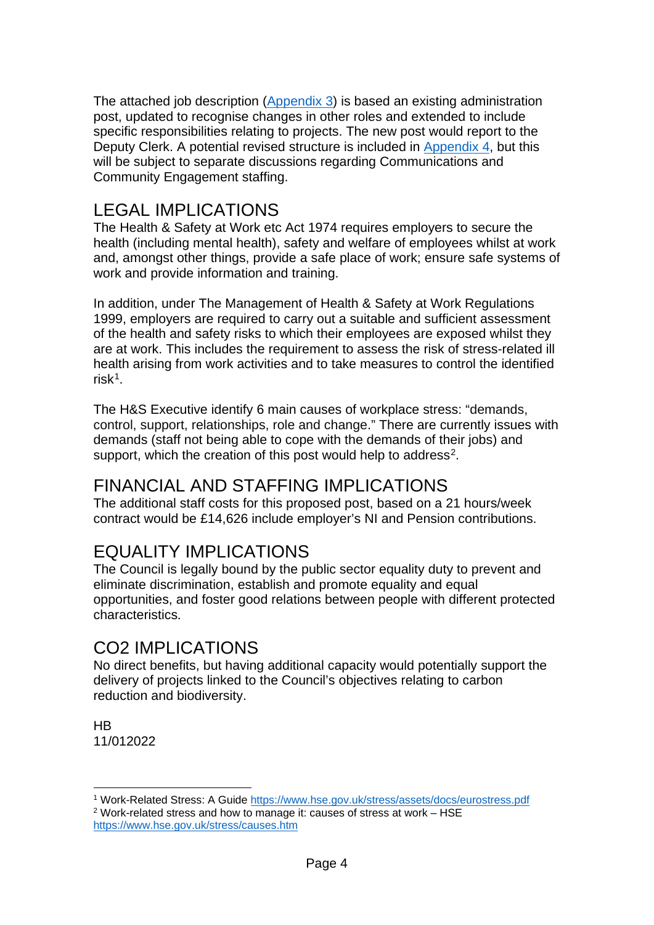The attached job description [\(Appendix 3\)](#page-23-0) is based an existing administration post, updated to recognise changes in other roles and extended to include specific responsibilities relating to projects. The new post would report to the Deputy Clerk. A potential revised structure is included in [Appendix 4,](#page-25-0) but this will be subject to separate discussions regarding Communications and Community Engagement staffing.

# <span id="page-19-0"></span>LEGAL IMPLICATIONS

The Health & Safety at Work etc Act 1974 requires employers to secure the health (including mental health), safety and welfare of employees whilst at work and, amongst other things, provide a safe place of work; ensure safe systems of work and provide information and training.

In addition, under The Management of Health & Safety at Work Regulations 1999, employers are required to carry out a suitable and sufficient assessment of the health and safety risks to which their employees are exposed whilst they are at work. This includes the requirement to assess the risk of stress-related ill health arising from work activities and to take measures to control the identified risk[1.](#page-19-1)

The H&S Executive identify 6 main causes of workplace stress: "demands, control, support, relationships, role and change." There are currently issues with demands (staff not being able to cope with the demands of their jobs) and support, which the creation of this post would help to address<sup>2</sup>.

# FINANCIAL AND STAFFING IMPLICATIONS

The additional staff costs for this proposed post, based on a 21 hours/week contract would be £14,626 include employer's NI and Pension contributions.

# EQUALITY IMPLICATIONS

The Council is legally bound by the public sector equality duty to prevent and eliminate discrimination, establish and promote equality and equal opportunities, and foster good relations between people with different protected characteristics.

# CO2 IMPLICATIONS

No direct benefits, but having additional capacity would potentially support the delivery of projects linked to the Council's objectives relating to carbon reduction and biodiversity.

**HB** 11/012022

<span id="page-19-1"></span><sup>1</sup> Work-Related Stress: A Guide<https://www.hse.gov.uk/stress/assets/docs/eurostress.pdf>

<span id="page-19-2"></span><sup>&</sup>lt;sup>2</sup> Work-related stress and how to manage it: causes of stress at work – HSE <https://www.hse.gov.uk/stress/causes.htm>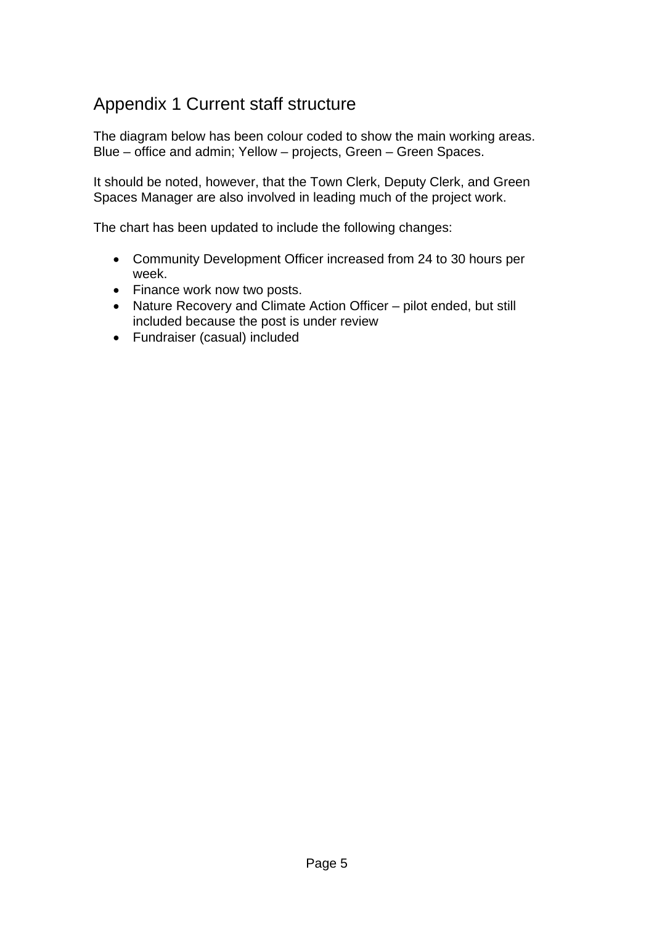# <span id="page-20-0"></span>Appendix 1 Current staff structure

The diagram below has been colour coded to show the main working areas. Blue – office and admin; Yellow – projects, Green – Green Spaces.

It should be noted, however, that the Town Clerk, Deputy Clerk, and Green Spaces Manager are also involved in leading much of the project work.

The chart has been updated to include the following changes:

- Community Development Officer increased from 24 to 30 hours per week.
- Finance work now two posts.
- Nature Recovery and Climate Action Officer pilot ended, but still included because the post is under review
- Fundraiser (casual) included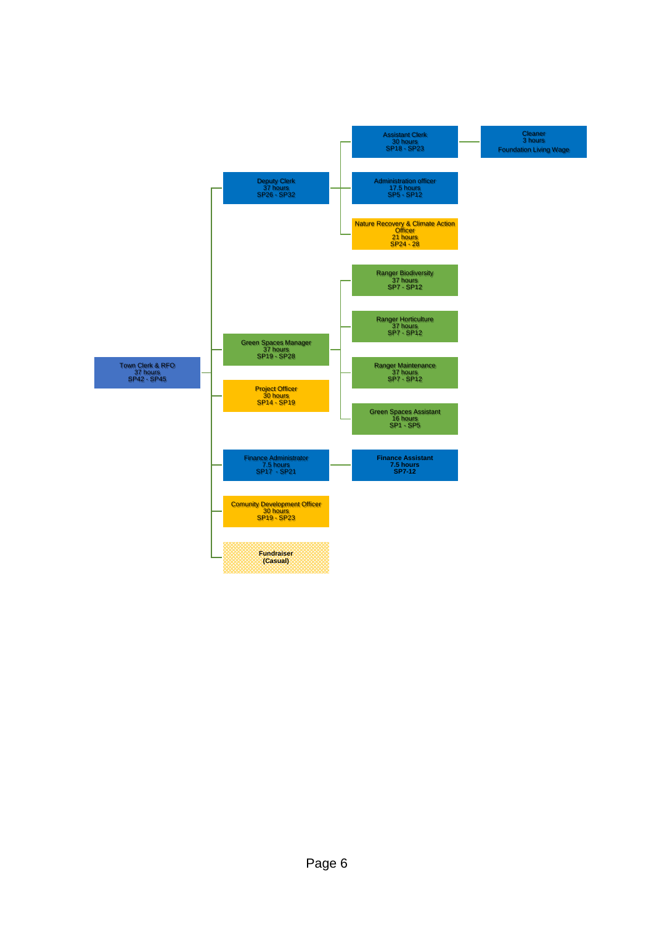<span id="page-21-0"></span>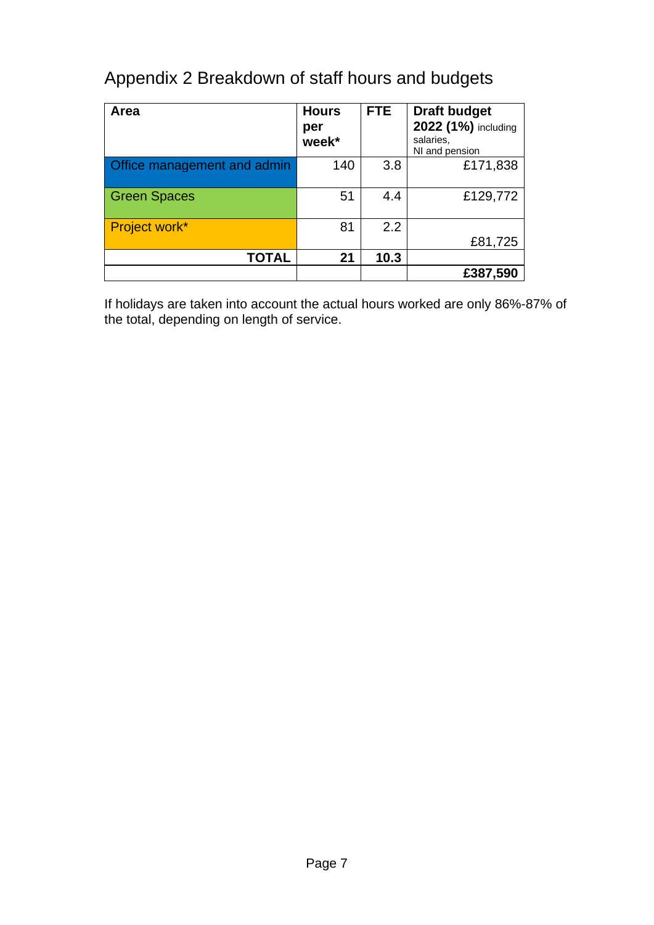# Appendix 2 Breakdown of staff hours and budgets

| Area                        | <b>Hours</b><br>per<br>week* | <b>FTE</b> | <b>Draft budget</b><br>2022 (1%) including<br>salaries.<br>NI and pension |
|-----------------------------|------------------------------|------------|---------------------------------------------------------------------------|
| Office management and admin | 140                          | 3.8        | £171,838                                                                  |
| <b>Green Spaces</b>         | 51                           | 4.4        | £129,772                                                                  |
| Project work*               | 81                           | 2.2        | £81,725                                                                   |
| <b>TOTAL</b>                | 21                           | 10.3       |                                                                           |
|                             |                              |            | £387,590                                                                  |

If holidays are taken into account the actual hours worked are only 86%-87% of the total, depending on length of service.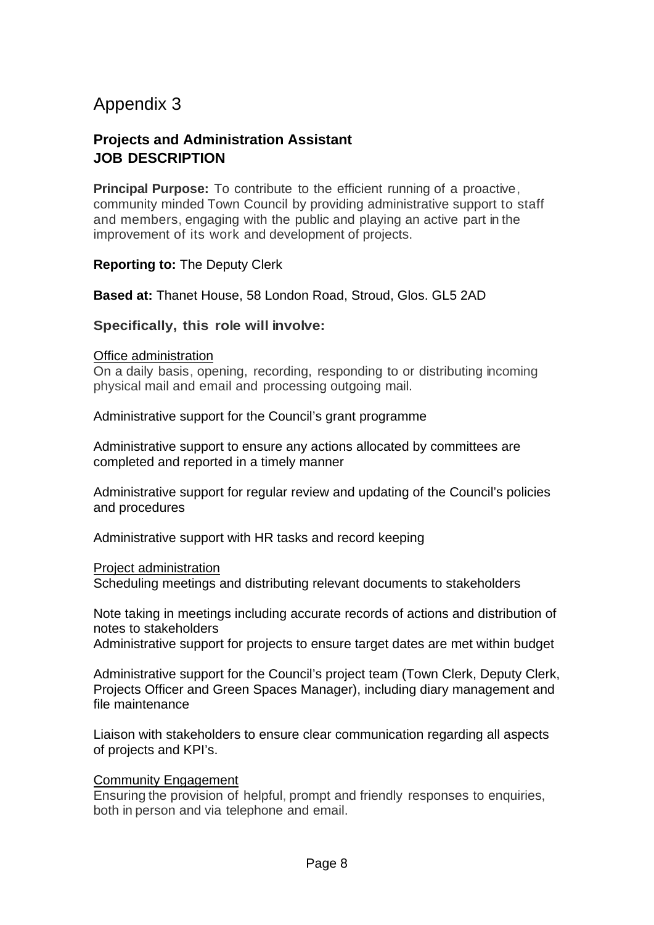# <span id="page-23-0"></span>Appendix 3

# **Projects and Administration Assistant JOB DESCRIPTION**

**Principal Purpose:** To contribute to the efficient running of a proactive, community minded Town Council by providing administrative support to staff and members, engaging with the public and playing an active part in the improvement of its work and development of projects.

**Reporting to:** The Deputy Clerk

**Based at:** Thanet House, 58 London Road, Stroud, Glos. GL5 2AD

**Specifically, this role will involve:**

#### Office administration

On a daily basis, opening, recording, responding to or distributing incoming physical mail and email and processing outgoing mail.

Administrative support for the Council's grant programme

Administrative support to ensure any actions allocated by committees are completed and reported in a timely manner

Administrative support for regular review and updating of the Council's policies and procedures

Administrative support with HR tasks and record keeping

#### Project administration

Scheduling meetings and distributing relevant documents to stakeholders

Note taking in meetings including accurate records of actions and distribution of notes to stakeholders

Administrative support for projects to ensure target dates are met within budget

Administrative support for the Council's project team (Town Clerk, Deputy Clerk, Projects Officer and Green Spaces Manager), including diary management and file maintenance

Liaison with stakeholders to ensure clear communication regarding all aspects of projects and KPI's.

### Community Engagement

Ensuring the provision of helpful, prompt and friendly responses to enquiries, both in person and via telephone and email.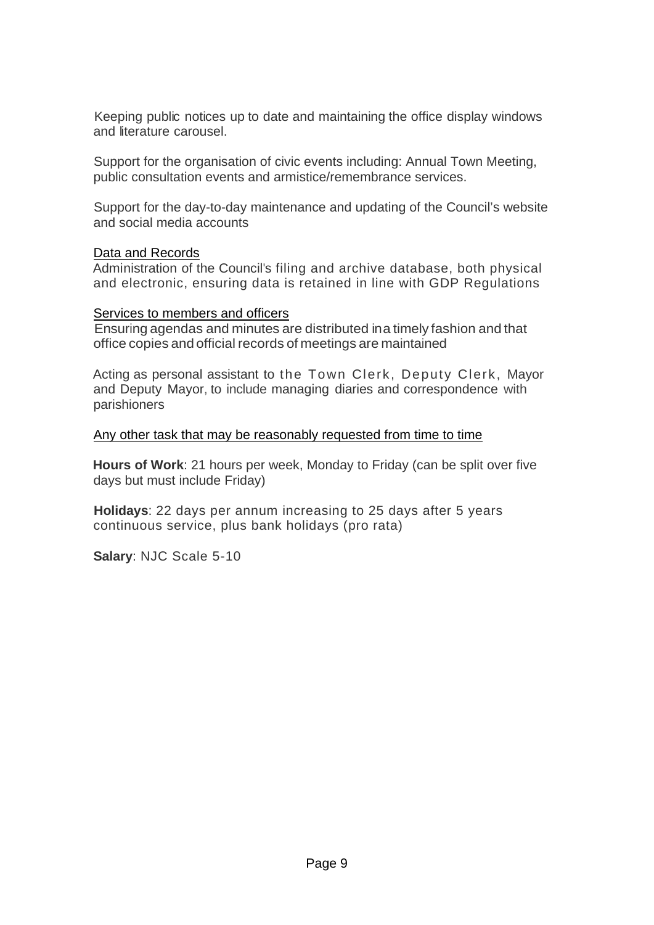Keeping public notices up to date and maintaining the office display windows and literature carousel.

Support for the organisation of civic events including: Annual Town Meeting, public consultation events and armistice/remembrance services.

Support for the day-to-day maintenance and updating of the Council's website and social media accounts

### Data and Records

Administration of the Council's filing and archive database, both physical and electronic, ensuring data is retained in line with GDP Regulations

### Services to members and officers

Ensuring agendas and minutes are distributed ina timely fashion and that office copies and official records of meetings are maintained

Acting as personal assistant to the Town Clerk, Deputy Clerk, Mayor and Deputy Mayor, to include managing diaries and correspondence with parishioners

### Any other task that may be reasonably requested from time to time

**Hours of Work**: 21 hours per week, Monday to Friday (can be split over five days but must include Friday)

**Holidays**: 22 days per annum increasing to 25 days after 5 years continuous service, plus bank holidays (pro rata)

**Salary**: NJC Scale 5-10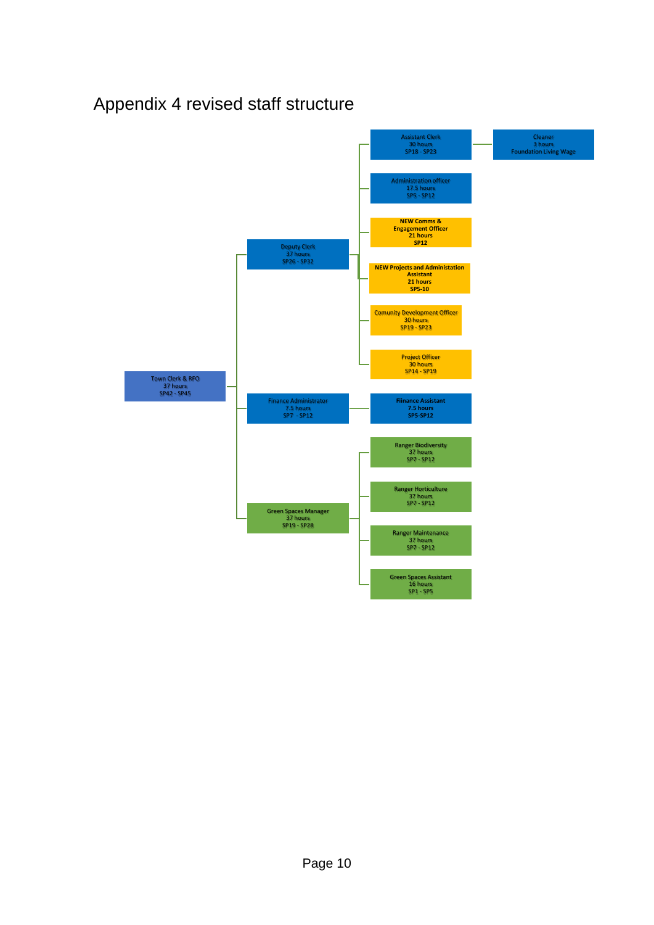# <span id="page-25-0"></span>Appendix 4 revised staff structure

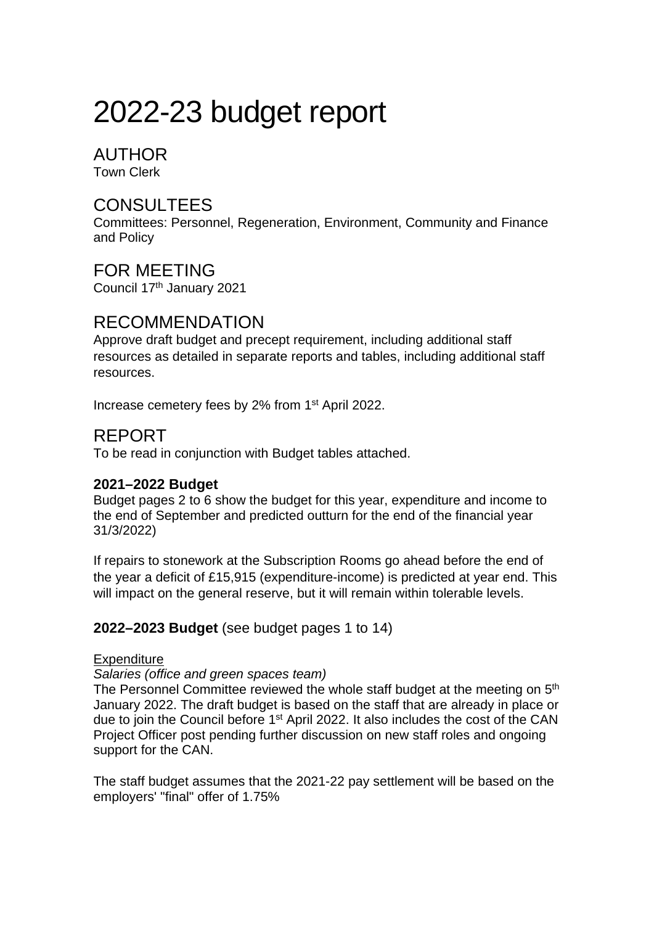# 2022-23 budget report

# AUTHOR

Town Clerk

# **CONSULTEES**

Committees: Personnel, Regeneration, Environment, Community and Finance and Policy

FOR MEETING Council 17th January 2021

# RECOMMENDATION

Approve draft budget and precept requirement, including additional staff resources as detailed in separate reports and tables, including additional staff resources.

Increase cemetery fees by 2% from 1st April 2022.

# REPORT

To be read in conjunction with Budget tables attached.

### **2021–2022 Budget**

Budget pages 2 to 6 show the budget for this year, expenditure and income to the end of September and predicted outturn for the end of the financial year 31/3/2022)

If repairs to stonework at the Subscription Rooms go ahead before the end of the year a deficit of £15,915 (expenditure-income) is predicted at year end. This will impact on the general reserve, but it will remain within tolerable levels.

# **2022–2023 Budget** (see budget pages 1 to 14)

### **Expenditure**

*Salaries (office and green spaces team)*

The Personnel Committee reviewed the whole staff budget at the meeting on 5<sup>th</sup> January 2022. The draft budget is based on the staff that are already in place or due to join the Council before 1<sup>st</sup> April 2022. It also includes the cost of the CAN Project Officer post pending further discussion on new staff roles and ongoing support for the CAN.

The staff budget assumes that the 2021-22 pay settlement will be based on the employers' "final" offer of 1.75%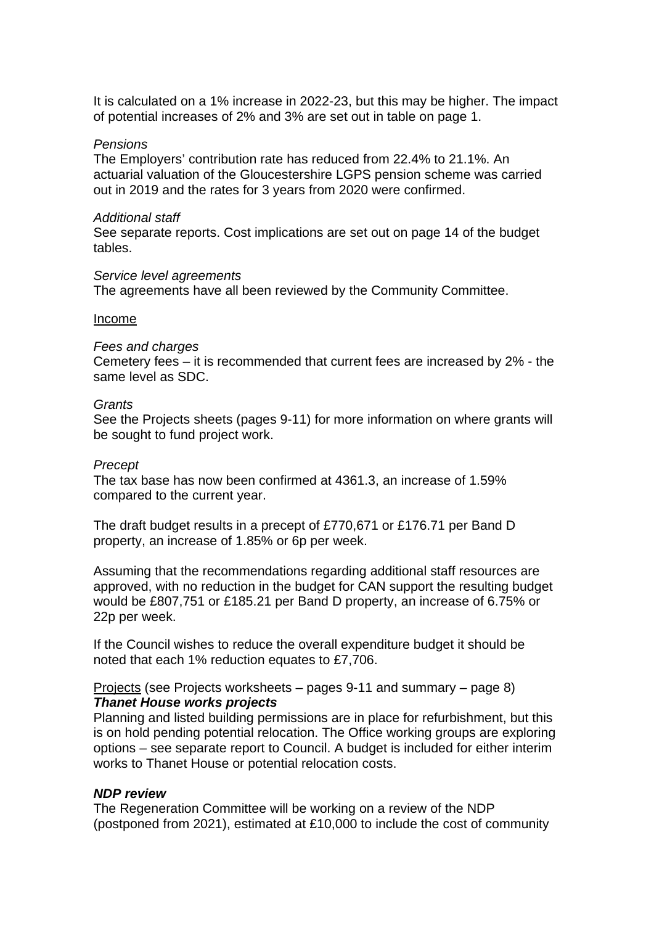It is calculated on a 1% increase in 2022-23, but this may be higher. The impact of potential increases of 2% and 3% are set out in table on page 1.

#### *Pensions*

The Employers' contribution rate has reduced from 22.4% to 21.1%. An actuarial valuation of the Gloucestershire LGPS pension scheme was carried out in 2019 and the rates for 3 years from 2020 were confirmed.

#### *Additional staff*

See separate reports. Cost implications are set out on page 14 of the budget tables.

#### *Service level agreements*

The agreements have all been reviewed by the Community Committee.

#### Income

#### *Fees and charges*

Cemetery fees – it is recommended that current fees are increased by 2% - the same level as SDC.

#### *Grants*

See the Projects sheets (pages 9-11) for more information on where grants will be sought to fund project work.

#### *Precept*

The tax base has now been confirmed at 4361.3, an increase of 1.59% compared to the current year.

The draft budget results in a precept of £770,671 or £176.71 per Band D property, an increase of 1.85% or 6p per week.

Assuming that the recommendations regarding additional staff resources are approved, with no reduction in the budget for CAN support the resulting budget would be £807,751 or £185.21 per Band D property, an increase of 6.75% or 22p per week.

If the Council wishes to reduce the overall expenditure budget it should be noted that each 1% reduction equates to £7,706.

#### Projects (see Projects worksheets – pages 9-11 and summary – page 8) *Thanet House works projects*

Planning and listed building permissions are in place for refurbishment, but this is on hold pending potential relocation. The Office working groups are exploring options – see separate report to Council. A budget is included for either interim works to Thanet House or potential relocation costs.

#### *NDP review*

The Regeneration Committee will be working on a review of the NDP (postponed from 2021), estimated at £10,000 to include the cost of community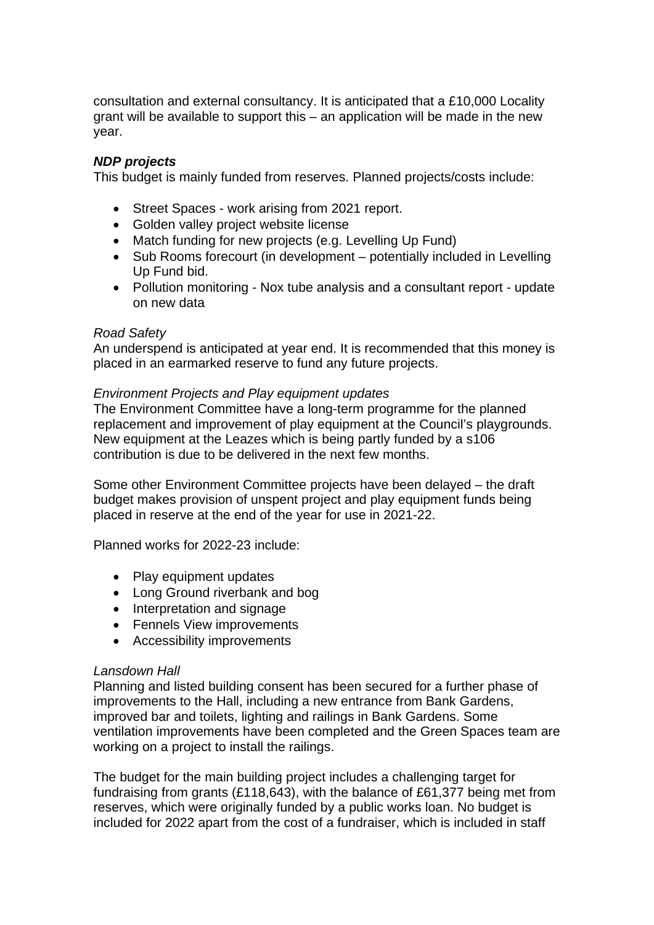consultation and external consultancy. It is anticipated that a £10,000 Locality grant will be available to support this – an application will be made in the new year.

### *NDP projects*

This budget is mainly funded from reserves. Planned projects/costs include:

- Street Spaces work arising from 2021 report.
- Golden valley project website license
- Match funding for new projects (e.g. Levelling Up Fund)
- Sub Rooms forecourt (in development potentially included in Levelling Up Fund bid.
- Pollution monitoring Nox tube analysis and a consultant report update on new data

#### *Road Safety*

An underspend is anticipated at year end. It is recommended that this money is placed in an earmarked reserve to fund any future projects.

### *Environment Projects and Play equipment updates*

The Environment Committee have a long-term programme for the planned replacement and improvement of play equipment at the Council's playgrounds. New equipment at the Leazes which is being partly funded by a s106 contribution is due to be delivered in the next few months.

Some other Environment Committee projects have been delayed – the draft budget makes provision of unspent project and play equipment funds being placed in reserve at the end of the year for use in 2021-22.

Planned works for 2022-23 include:

- Play equipment updates
- Long Ground riverbank and bog
- Interpretation and signage
- Fennels View improvements
- Accessibility improvements

### *Lansdown Hall*

Planning and listed building consent has been secured for a further phase of improvements to the Hall, including a new entrance from Bank Gardens, improved bar and toilets, lighting and railings in Bank Gardens. Some ventilation improvements have been completed and the Green Spaces team are working on a project to install the railings.

The budget for the main building project includes a challenging target for fundraising from grants (£118,643), with the balance of £61,377 being met from reserves, which were originally funded by a public works loan. No budget is included for 2022 apart from the cost of a fundraiser, which is included in staff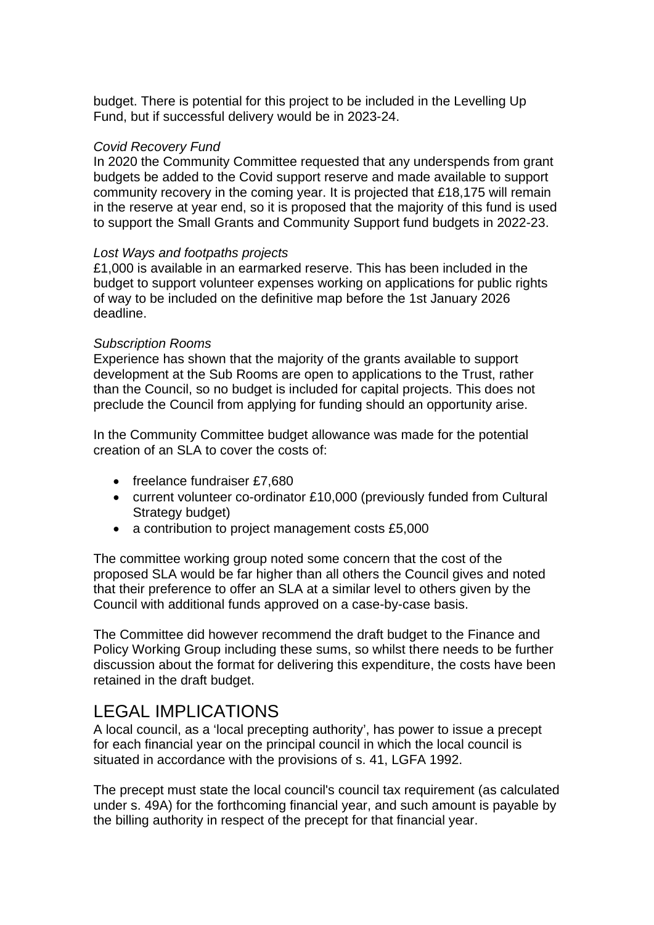budget. There is potential for this project to be included in the Levelling Up Fund, but if successful delivery would be in 2023-24.

### *Covid Recovery Fund*

In 2020 the Community Committee requested that any underspends from grant budgets be added to the Covid support reserve and made available to support community recovery in the coming year. It is projected that £18,175 will remain in the reserve at year end, so it is proposed that the majority of this fund is used to support the Small Grants and Community Support fund budgets in 2022-23.

#### *Lost Ways and footpaths projects*

£1,000 is available in an earmarked reserve. This has been included in the budget to support volunteer expenses working on applications for public rights of way to be included on the definitive map before the 1st January 2026 deadline.

#### *Subscription Rooms*

Experience has shown that the majority of the grants available to support development at the Sub Rooms are open to applications to the Trust, rather than the Council, so no budget is included for capital projects. This does not preclude the Council from applying for funding should an opportunity arise.

In the Community Committee budget allowance was made for the potential creation of an SLA to cover the costs of:

- freelance fundraiser £7,680
- current volunteer co-ordinator £10,000 (previously funded from Cultural Strategy budget)
- a contribution to project management costs £5,000

The committee working group noted some concern that the cost of the proposed SLA would be far higher than all others the Council gives and noted that their preference to offer an SLA at a similar level to others given by the Council with additional funds approved on a case-by-case basis.

The Committee did however recommend the draft budget to the Finance and Policy Working Group including these sums, so whilst there needs to be further discussion about the format for delivering this expenditure, the costs have been retained in the draft budget.

# LEGAL IMPLICATIONS

A local council, as a 'local precepting authority', has power to issue a precept for each financial year on the principal council in which the local council is situated in accordance with the provisions of s. 41, LGFA 1992.

The precept must state the local council's council tax requirement (as calculated under s. 49A) for the forthcoming financial year, and such amount is payable by the billing authority in respect of the precept for that financial year.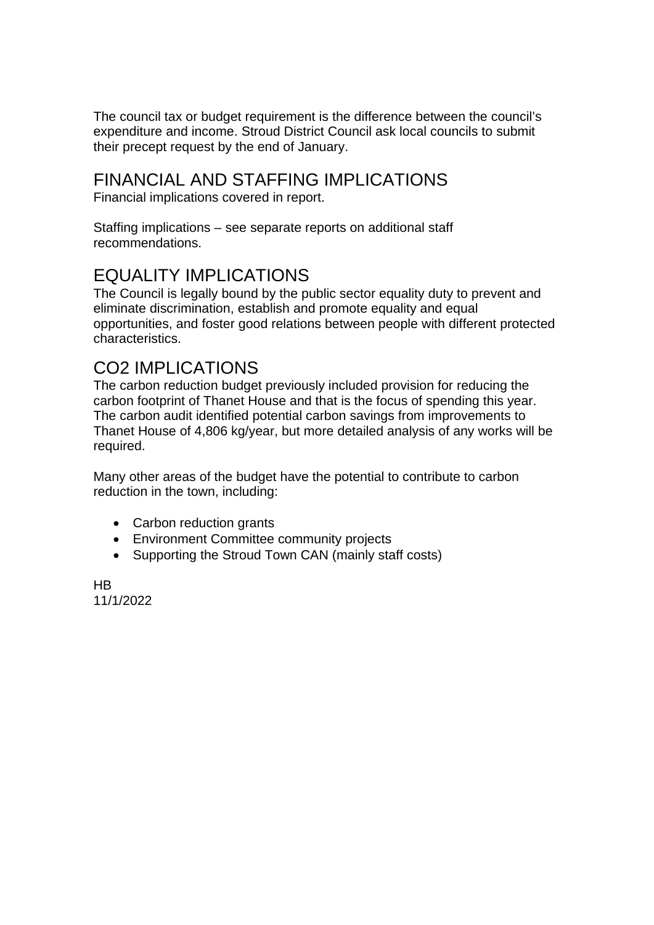The council tax or budget requirement is the difference between the council's expenditure and income. Stroud District Council ask local councils to submit their precept request by the end of January.

# FINANCIAL AND STAFFING IMPLICATIONS

Financial implications covered in report.

Staffing implications – see separate reports on additional staff recommendations.

# EQUALITY IMPLICATIONS

The Council is legally bound by the public sector equality duty to prevent and eliminate discrimination, establish and promote equality and equal opportunities, and foster good relations between people with different protected characteristics.

# CO2 IMPLICATIONS

The carbon reduction budget previously included provision for reducing the carbon footprint of Thanet House and that is the focus of spending this year. The carbon audit identified potential carbon savings from improvements to Thanet House of 4,806 kg/year, but more detailed analysis of any works will be required.

Many other areas of the budget have the potential to contribute to carbon reduction in the town, including:

- Carbon reduction grants
- Environment Committee community projects
- Supporting the Stroud Town CAN (mainly staff costs)

HB 11/1/2022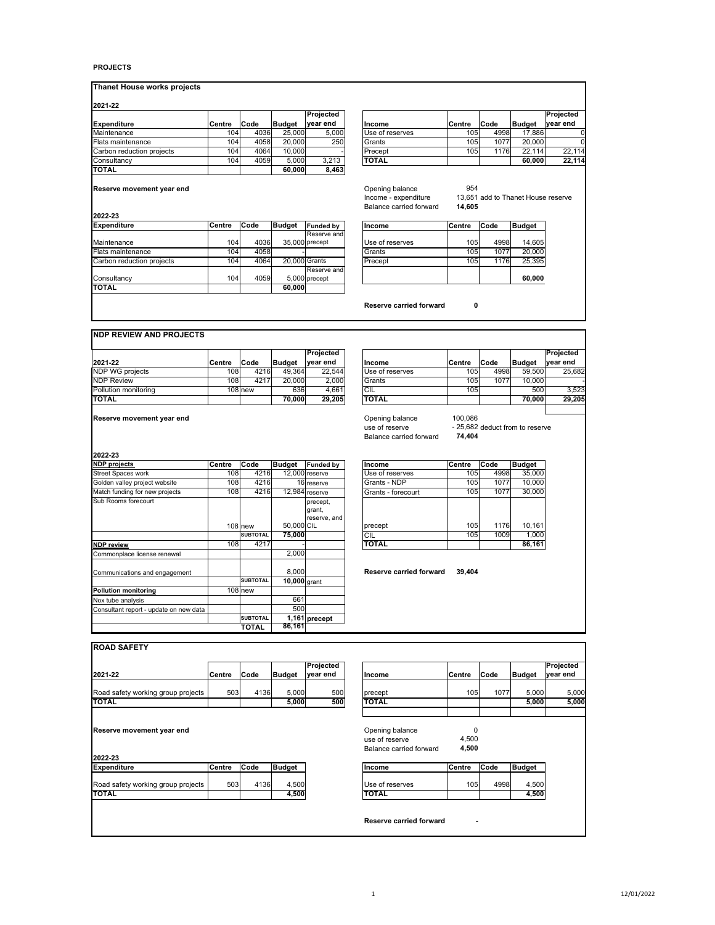#### **PROJECTS**

| <b>Thanet House works projects</b> |  |  |  |
|------------------------------------|--|--|--|
|------------------------------------|--|--|--|

| 2021-22                   |        |      |               |           |  |                 |        |      |               |           |
|---------------------------|--------|------|---------------|-----------|--|-----------------|--------|------|---------------|-----------|
|                           |        |      |               | Projected |  |                 |        |      |               | Projected |
| <b>Expenditure</b>        | Centre | Code | <b>Budget</b> | vear end  |  | <b>Income</b>   | Centre | Code | <b>Budget</b> | vear end  |
| Maintenance               | 1041   | 4036 | 25,000        | 5.000     |  | Use of reserves | 105    | 4998 | 17,886        |           |
| Flats maintenance         | 1041   | 4058 | 20,000        | 250       |  | Grants          | 105    | 1077 | 20,000        |           |
| Carbon reduction projects | 1041   | 4064 | 10.000        |           |  | Precept         | 105    | 1176 | 22.114        | 22.114    |
| Consultancy               | 1041   | 4059 | 5.000         | 3.213     |  | <b>TOTAL</b>    |        |      | 60.000        | 22.114    |
| <b>TOTAL</b>              |        |      | 60.000        | 8,463     |  |                 |        |      |               |           |

| Projected |                 |        |      |               | Projected |
|-----------|-----------------|--------|------|---------------|-----------|
| vear end  | Income          | Centre | Code | <b>Budget</b> | vear end  |
| 5,000     | Use of reserves | 105    | 4998 | 17.886        |           |
| 250       | Grants          | 105    | 1077 | 20,000        |           |
|           | Precept         | 105    | 1176 | 22,114        | 22.114    |
| 3.213     | <b>TOTAL</b>    |        |      | 60.000        | 22,114    |
| 8.463     |                 |        |      |               |           |

954<br>13,651 add to Thanet House reserve<br>**14,605** 

**Reserve movement year end** 

**2022-23**

| <b>Expenditure</b>        | <b>Centre</b>    | Code | <b>Budget</b> | <b>Funded by</b> | Income          | Centre           | Code | <b>Budget</b> |
|---------------------------|------------------|------|---------------|------------------|-----------------|------------------|------|---------------|
|                           |                  |      |               | Reserve and      |                 |                  |      |               |
| Maintenance               | 104 <sub>1</sub> | 4036 |               | 35,000 precept   | Use of reserves | 105              | 4998 | 14.605        |
| Flats maintenance         | 104 <sub>1</sub> | 4058 |               |                  | Grants          | 105 <sub>1</sub> | 1077 | 20,000        |
| Carbon reduction projects | 104              | 4064 | 20,000 Grants |                  | Precept         | 105 <sub>1</sub> | 1176 | 25.395        |
|                           |                  |      |               | Reserve and      |                 |                  |      |               |
| Consultancv               | 104              | 4059 |               | 5,000 precept    |                 |                  |      | 60.000        |
| <b>TOTAL</b>              |                  |      | 60.000        |                  |                 |                  |      |               |
|                           |                  |      |               |                  |                 |                  |      |               |

| Funded by   | Income          | Centre | Code | <b>Budget</b> |
|-------------|-----------------|--------|------|---------------|
| Reserve and |                 |        |      |               |
| precept     | Use of reserves | 105    | 4998 | 14,605        |
|             | Grants          | 105    | 1077 | 20.000        |
| Grants      | Precept         | 105    | 1176 | 25.395        |
| Reserve and |                 |        |      |               |
| precept     |                 |        |      | 60,000        |

**Reserve carried forward 0**

Opening balance<br>Income - expenditure<br>Balance carried forward

#### **NDP REVIEW AND PROJECTS**

|                        |        |           |               | Proiected |                 |         |      |               | Projected |
|------------------------|--------|-----------|---------------|-----------|-----------------|---------|------|---------------|-----------|
| 2021-22                | Centre | Code      | <b>Budget</b> | vear end  | Income          | lCentre | Code | <b>Budget</b> | vear end  |
| <b>NDP WG projects</b> | 108    | 4216      | 49.364        | 22.544    | Use of reserves | 105     | 4998 | 59.500        | 25.682    |
| <b>NDP Review</b>      | 1081   | 4217      | 20,000        | 2.000     | Grants          | 105     | 1077 | 10.0001       |           |
| Pollution monitoring   |        | $108$ new | 636           | 4.661     | <b>ICIL</b>     | 105     |      | 500           | 3.523     |
| <b>TOTAL</b>           |        |           | 70.000        | 29.205    | <b>TOTAL</b>    |         |      | 70,000        | 29.205    |

|                           |        |         |               | Projected |                                                              |                   |      |                                 | Projected |
|---------------------------|--------|---------|---------------|-----------|--------------------------------------------------------------|-------------------|------|---------------------------------|-----------|
| 2021-22                   | Centre | Code    | <b>Budget</b> | year end  | Income                                                       | Centre            | Code | <b>Budget</b>                   | year end  |
| NDP WG projects           | 108    | 4216    | 49.364        | 22.544    | Use of reserves                                              | 105               | 4998 | 59.500                          | 25.682    |
| <b>NDP Review</b>         | 108l   | 4217    | 20,000        | 2.000     | Grants                                                       | 105               | 1077 | 10.000                          |           |
| Pollution monitoring      |        | 108 new | 636           | 4.661     | CIL                                                          | 105               |      | 500                             | 3,523     |
| <b>TOTAL</b>              |        |         | 70,000        | 29,205    | <b>TOTAL</b>                                                 |                   |      | 70.000                          | 29.205    |
| Reserve movement year end |        |         |               |           | Opening balance<br>use of reserve<br>Balance carried forward | 100.086<br>74.404 |      | - 25,682 deduct from to reserve |           |
| anaa aa                   |        |         |               |           |                                                              |                   |      |                                 |           |

| <b>NDP</b> projects                    | Centre | Code            | <b>Budget</b>  | <b>Funded by</b>                   | Income                  | Centre | Code | <b>Budget</b> |
|----------------------------------------|--------|-----------------|----------------|------------------------------------|-------------------------|--------|------|---------------|
| <b>Street Spaces work</b>              | 108    | 4216            |                | 12.000 reserve                     | Use of reserves         | 105    | 4998 | 35,000        |
| Golden valley project website          | 108    | 4216            |                | 16 reserve                         | Grants - NDP            | 105    | 1077 | 10,000        |
| Match funding for new projects         | 108    | 4216            |                | 12,984 reserve                     | Grants - forecourt      | 105    | 1077 | 30,000        |
| Sub Rooms forecourt                    |        |                 |                | precept,<br>grant,<br>reserve, and |                         |        |      |               |
|                                        |        | <b>108 new</b>  | 50,000 CIL     |                                    | precept                 | 105    | 1176 | 10,161        |
|                                        |        | <b>SUBTOTAL</b> | 75,000         |                                    | CIL                     | 105    | 1009 | 1,000         |
| <b>NDP</b> review                      | 108    | 4217            |                |                                    | <b>TOTAL</b>            |        |      | 86,161        |
| Commonplace license renewal            |        |                 | 2.000          |                                    |                         |        |      |               |
| Communications and engagement          |        |                 | 8.000          |                                    | Reserve carried forward | 39.404 |      |               |
|                                        |        | <b>SUBTOTAL</b> | $10,000$ grant |                                    |                         |        |      |               |
| <b>Pollution monitoring</b>            |        | $108$ new       |                |                                    |                         |        |      |               |
| Nox tube analysis                      |        |                 | 661            |                                    |                         |        |      |               |
| Consultant report - update on new data |        |                 | 500            |                                    |                         |        |      |               |
|                                        |        | <b>SUBTOTAL</b> |                | 1,161 precept                      |                         |        |      |               |
|                                        |        | <b>TOTAL</b>    | 86,161         |                                    |                         |        |      |               |

| Code            | <b>Budget</b> | <b>Funded by</b>                   | Income             | Centre | Code | <b>Budget</b> |
|-----------------|---------------|------------------------------------|--------------------|--------|------|---------------|
| 4216            |               | 12,000 reserve                     | Use of reserves    | 105    | 4998 | 35,000        |
| 4216            |               | 16 reserve                         | Grants - NDP       | 105    | 1077 | 10,000        |
| 4216            |               | 12,984 reserve                     | Grants - forecourt | 105    | 1077 | 30,000        |
|                 |               | precept,<br>grant,<br>reserve, and |                    |        |      |               |
| new             | 50,000 CIL    |                                    | precept            | 105    | 1176 | 10,161        |
| <b>SUBTOTAL</b> | 75.000        |                                    | CIL                | 105    | 1009 | 1.000         |
| 4217            |               |                                    | <b>TOTAL</b>       |        |      | 86.161        |

| 2021-22                            | Centre | Code | <b>Budget</b> | Projected<br>year end | Income                  | Centre | Code | <b>Budget</b> | Projected<br>year end |
|------------------------------------|--------|------|---------------|-----------------------|-------------------------|--------|------|---------------|-----------------------|
| Road safety working group projects | 503    | 4136 | 5,000         | 500                   | precept                 | 105    | 1077 | 5,000         | 5,000                 |
| <b>TOTAL</b>                       |        |      | 5,000         | 500                   | <b>TOTAL</b>            |        |      | 5,000         | 5,000                 |
| 2022-23                            |        |      |               |                       | Balance carried forward | 4,500  |      |               |                       |
| <b>Expenditure</b>                 | Centre | Code | <b>Budget</b> |                       | Income                  | Centre | Code | <b>Budget</b> |                       |
| Road safety working group projects | 503    | 4136 | 4,500         |                       | Use of reserves         | 105    | 4998 | 4,500         |                       |
| <b>TOTAL</b>                       |        |      | 4,500         |                       | <b>TOTAL</b>            |        |      | 4,500         |                       |

#### 1 12/01/2022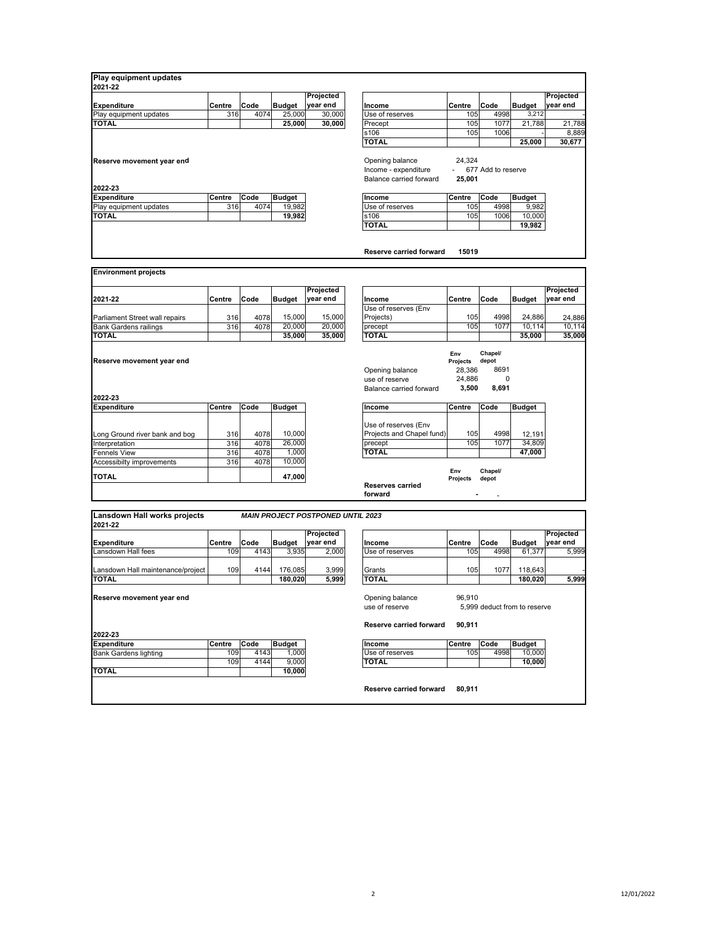| Play equipment updates                  |        |      |                        |                                          |                                    |          |                    |                              |                       |
|-----------------------------------------|--------|------|------------------------|------------------------------------------|------------------------------------|----------|--------------------|------------------------------|-----------------------|
| 2021-22                                 |        |      |                        |                                          |                                    |          |                    |                              |                       |
| <b>Expenditure</b>                      | Centre | Code | <b>Budget</b>          | Projected<br>year end                    | Income                             | Centre   | Code               | <b>Budget</b>                | Projected<br>year end |
| Play equipment updates                  | 316    | 4074 | 25,000                 | 30,000                                   | Use of reserves                    | 105      | 4998               | 3,212                        |                       |
| <b>TOTAL</b>                            |        |      | 25,000                 | 30,000                                   | Precept                            | 105      | 1077               | 21,788                       | 21,788                |
|                                         |        |      |                        |                                          | s106                               | 105      | 1006               |                              | 8,889                 |
|                                         |        |      |                        |                                          | TOTAL                              |          |                    | 25.000                       | 30,677                |
| Reserve movement year end               |        |      |                        |                                          | Opening balance                    | 24,324   |                    |                              |                       |
|                                         |        |      |                        |                                          | Income - expenditure               | $\sim$   | 677 Add to reserve |                              |                       |
|                                         |        |      |                        |                                          | Balance carried forward            | 25,001   |                    |                              |                       |
| 2022-23                                 |        |      |                        |                                          |                                    |          |                    |                              |                       |
| <b>Expenditure</b>                      | Centre | Code | <b>Budget</b>          |                                          | Income                             | Centre   | Code               | <b>Budget</b>                |                       |
| Play equipment updates                  | 316    | 4074 | 19,982                 |                                          | Use of reserves                    | 105      | 4998               | 9,982                        |                       |
| <b>TOTAL</b>                            |        |      | 19,982                 |                                          | s106                               | 105      | 1006               | 10,000                       |                       |
|                                         |        |      |                        |                                          | TOTAL                              |          |                    | 19,982                       |                       |
|                                         |        |      |                        |                                          |                                    |          |                    |                              |                       |
|                                         |        |      |                        |                                          | <b>Reserve carried forward</b>     | 15019    |                    |                              |                       |
|                                         |        |      |                        |                                          |                                    |          |                    |                              |                       |
| <b>Environment projects</b>             |        |      |                        |                                          |                                    |          |                    |                              |                       |
|                                         |        |      |                        | Projected                                |                                    |          |                    |                              | Projected             |
| 2021-22                                 | Centre | Code | <b>Budget</b>          | year end                                 | Income                             | Centre   | Code               | <b>Budget</b>                | year end              |
|                                         |        |      |                        |                                          | Use of reserves (Env               |          |                    |                              |                       |
| Parliament Street wall repairs          | 316    | 4078 | 15,000                 | 15,000                                   | Projects)                          | 105      | 4998               | 24,886                       | 24,886                |
| <b>Bank Gardens railings</b>            | 316    | 4078 | 20,000                 | 20,000                                   | precept                            | 105      | 1077               | 10.114                       | 10,114                |
| TOTAL                                   |        |      | 35,000                 | 35,000                                   | <b>TOTAL</b>                       |          |                    | 35,000                       | 35,000                |
|                                         |        |      |                        |                                          |                                    |          |                    |                              |                       |
|                                         |        |      |                        |                                          |                                    | Env      | Chapel/            |                              |                       |
| Reserve movement year end               |        |      |                        |                                          |                                    | Projects | depot              |                              |                       |
|                                         |        |      |                        |                                          | Opening balance                    | 28,386   | 8691               |                              |                       |
|                                         |        |      |                        |                                          | use of reserve                     | 24,886   | 0                  |                              |                       |
|                                         |        |      |                        |                                          | Balance carried forward            | 3,500    | 8,691              |                              |                       |
| 2022-23<br><b>Expenditure</b>           | Centre | Code | <b>Budget</b>          |                                          | Income                             | Centre   | Code               | <b>Budget</b>                |                       |
|                                         |        |      |                        |                                          |                                    |          |                    |                              |                       |
|                                         |        |      |                        |                                          | Use of reserves (Env               |          |                    |                              |                       |
| Long Ground river bank and bog          | 316    | 4078 | 10,000                 |                                          | Projects and Chapel fund)          | 105      | 4998               | 12,191                       |                       |
| Interpretation                          | 316    | 4078 | 26,000                 |                                          | precept                            | 105      | 1077               | 34,809                       |                       |
| Fennels View                            | 316    | 4078 | 1,000                  |                                          | <b>TOTAL</b>                       |          |                    | 47,000                       |                       |
| Accessibilty improvements               | 316    | 4078 | 10,000                 |                                          |                                    |          |                    |                              |                       |
|                                         |        |      |                        |                                          |                                    | Env      | Chapel/            |                              |                       |
| <b>TOTAL</b>                            |        |      | 47,000                 |                                          |                                    | Projects | depot              |                              |                       |
|                                         |        |      |                        |                                          | <b>Reserves carried</b><br>forward |          |                    |                              |                       |
|                                         |        |      |                        |                                          |                                    |          |                    |                              |                       |
|                                         |        |      |                        |                                          |                                    |          |                    |                              |                       |
| Lansdown Hall works projects<br>2021-22 |        |      |                        | <b>MAIN PROJECT POSTPONED UNTIL 2023</b> |                                    |          |                    |                              |                       |
|                                         |        |      |                        | Projected                                |                                    |          |                    |                              | Projected             |
| <b>Expenditure</b>                      | Centre | Code | <b>Budget</b>          | year end                                 | Income                             | Centre   | Code               | <b>Budget</b>                | vear end              |
| Lansdown Hall fees                      | 109    | 4143 | 3,935                  | 2,000                                    | Use of reserves                    | 105      | 4998               | 61,377                       | 5,999                 |
|                                         |        |      |                        |                                          |                                    |          |                    |                              |                       |
| Lansdown Hall maintenance/project       | 109    | 4144 | 176,085                | 3,999                                    | Grants                             | 105      | 1077               | 118,643                      |                       |
| <b>TOTAL</b>                            |        |      | 180,020                | 5,999                                    | <b>TOTAL</b>                       |          |                    | 180,020                      | 5,999                 |
|                                         |        |      |                        |                                          |                                    |          |                    |                              |                       |
| Reserve movement year end               |        |      |                        |                                          | Opening balance                    | 96,910   |                    |                              |                       |
|                                         |        |      |                        |                                          | use of reserve                     |          |                    | 5,999 deduct from to reserve |                       |
|                                         |        |      |                        |                                          | <b>Reserve carried forward</b>     | 90,911   |                    |                              |                       |
| 2022-23                                 |        |      |                        |                                          |                                    |          |                    |                              |                       |
| <b>Expenditure</b>                      | Centre | Code |                        |                                          | Income                             | Centre   | Code               |                              |                       |
| <b>Bank Gardens lighting</b>            | 109    | 4143 | <b>Budget</b><br>1,000 |                                          | Use of reserves                    | 105      | 4998               | <b>Budget</b><br>10,000      |                       |
|                                         | 109    | 4144 | 9,000                  |                                          | <b>TOTAL</b>                       |          |                    | 10,000                       |                       |
| <b>TOTAL</b>                            |        |      | 10,000                 |                                          |                                    |          |                    |                              |                       |
|                                         |        |      |                        |                                          |                                    |          |                    |                              |                       |
|                                         |        |      |                        |                                          | Reserve carried forward            | 80,911   |                    |                              |                       |
|                                         |        |      |                        |                                          |                                    |          |                    |                              |                       |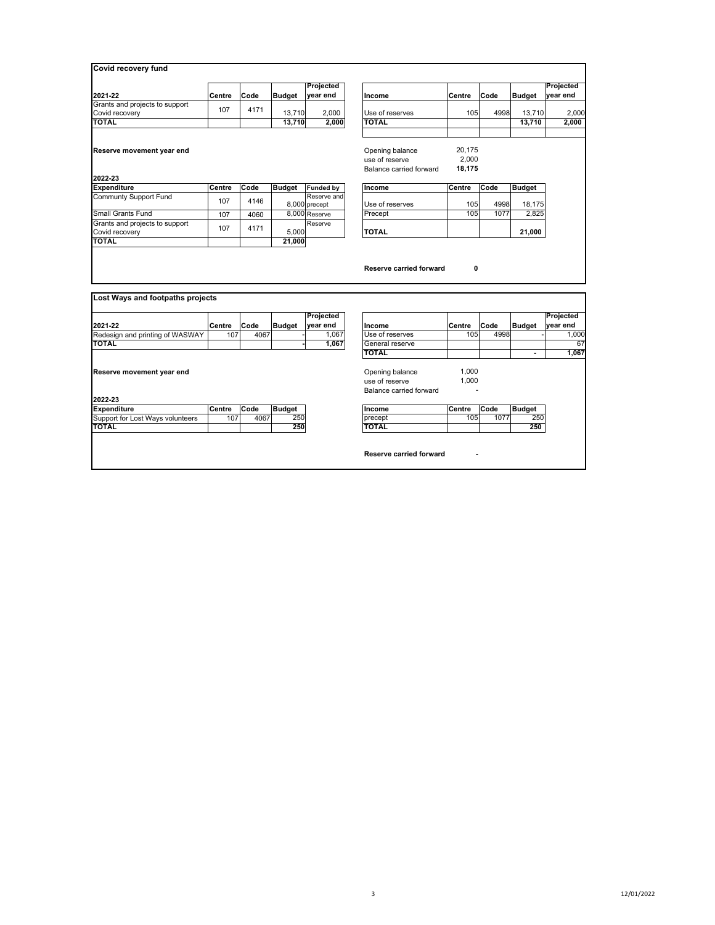| 2021-22                                                                                      | Centre        | Code         | <b>Budget</b>        | Projected<br>year end           | Income                                                       | Centre                    | Code         | <b>Budget</b>        | Projected<br>year end      |
|----------------------------------------------------------------------------------------------|---------------|--------------|----------------------|---------------------------------|--------------------------------------------------------------|---------------------------|--------------|----------------------|----------------------------|
| Grants and projects to support                                                               | 107           | 4171         |                      |                                 |                                                              |                           |              |                      |                            |
| Covid recovery                                                                               |               |              | 13,710               | 2,000                           | Use of reserves                                              | 105                       | 4998         | 13,710               | 2,000                      |
| <b>TOTAL</b>                                                                                 |               |              | 13,710               | 2,000                           | <b>TOTAL</b>                                                 |                           |              | 13,710               | 2,000                      |
| Reserve movement year end                                                                    |               |              |                      |                                 | Opening balance<br>use of reserve<br>Balance carried forward | 20.175<br>2.000<br>18.175 |              |                      |                            |
| 2022-23<br><b>Expenditure</b>                                                                | Centre        | Code         | <b>Budget</b>        |                                 | Income                                                       | Centre                    | Code         | <b>Budget</b>        |                            |
| <b>Communty Support Fund</b>                                                                 |               |              |                      | <b>Funded by</b><br>Reserve and |                                                              |                           |              |                      |                            |
|                                                                                              | 107           | 4146         |                      | 8,000 precept                   | Use of reserves                                              | 105                       | 4998         | 18,175               |                            |
|                                                                                              |               |              |                      |                                 |                                                              |                           |              |                      |                            |
|                                                                                              | 107           | 4060         |                      | 8.000 Reserve                   | Precept                                                      | 105                       | 1077         | 2.825                |                            |
|                                                                                              |               |              |                      | Reserve                         |                                                              |                           |              |                      |                            |
| <b>Small Grants Fund</b><br>Grants and projects to support<br>Covid recovery<br><b>TOTAL</b> | 107           | 4171         | 5,000<br>21,000      |                                 | <b>TOTAL</b><br>Reserve carried forward                      | 0                         |              | 21,000               |                            |
|                                                                                              |               |              |                      |                                 |                                                              |                           |              |                      |                            |
| Lost Ways and footpaths projects                                                             |               |              |                      | Projected                       |                                                              |                           |              |                      | Projected                  |
|                                                                                              | Centre        | Code         | <b>Budget</b>        | year end                        | Income                                                       | Centre                    | Code         | <b>Budget</b>        |                            |
|                                                                                              | 107           | 4067         |                      | 1.067                           | Use of reserves                                              | 105                       | 4998         |                      |                            |
|                                                                                              |               |              |                      | 1,067                           | General reserve                                              |                           |              |                      |                            |
|                                                                                              |               |              |                      |                                 | <b>TOTAL</b>                                                 |                           |              |                      |                            |
| 2021 22<br>Redesign and printing of WASWAY<br><b>TOTAL</b><br>Reserve movement year end      |               |              |                      |                                 | Opening balance                                              | 1,000                     |              |                      |                            |
|                                                                                              |               |              |                      |                                 | use of reserve                                               | 1.000                     |              |                      |                            |
|                                                                                              |               |              |                      |                                 | Balance carried forward                                      |                           |              |                      |                            |
|                                                                                              |               |              |                      |                                 |                                                              |                           |              |                      | year end<br>1,000<br>1.067 |
| 2022-23<br><b>Expenditure</b><br>Support for Lost Ways volunteers                            | Centre<br>107 | Code<br>4067 | <b>Budget</b><br>250 |                                 | Income<br>precept                                            | Centre<br>105             | Code<br>1077 | <b>Budget</b><br>250 |                            |